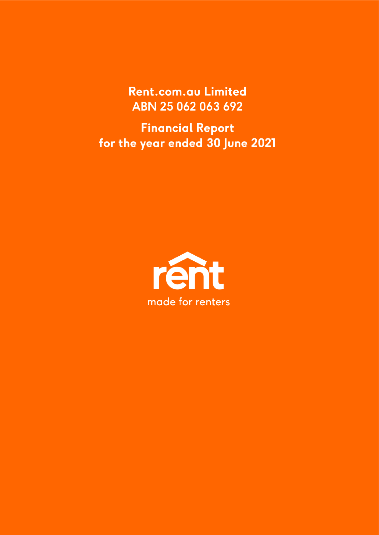Rent.com.au Limited ABN 25 062 063 692

**Financial Report** for the year ended 30 June 2021

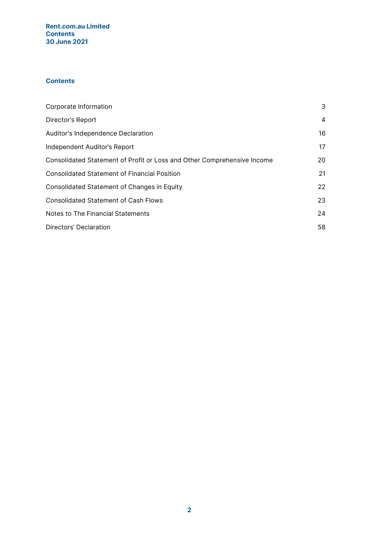## Rent.com.au Limited **Contents** 30 June 2021

# **Contents**

| Corporate Information                                                   | 3  |
|-------------------------------------------------------------------------|----|
| Director's Report                                                       | 4  |
| Auditor's Independence Declaration                                      | 16 |
| Independent Auditor's Report                                            | 17 |
| Consolidated Statement of Profit or Loss and Other Comprehensive Income | 20 |
| <b>Consolidated Statement of Financial Position</b>                     | 21 |
| Consolidated Statement of Changes in Equity                             | 22 |
| <b>Consolidated Statement of Cash Flows</b>                             | 23 |
| Notes to The Financial Statements                                       | 24 |
| Directors' Declaration                                                  | 58 |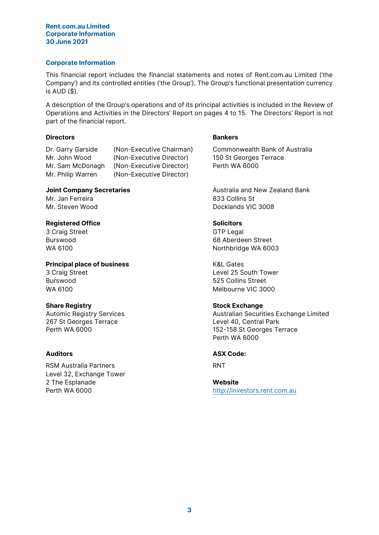#### Rent.com.au Limited Corporate Information 30 June 2021

## Corporate Information

This financial report includes the financial statements and notes of Rent.com.au Limited ('the Company') and its controlled entities ('the Group'). The Group's functional presentation currency is AUD (\$).

A description of the Group's operations and of its principal activities is included in the Review of Operations and Activities in the Directors' Report on pages 4 to 15. The Directors' Report is not part of the financial report.

## Directors **Bankers**

Dr. Garry Garside (Non-Executive Chairman) Commonwealth Bank of Australia Mr. John Wood (Non-Executive Director) 150 St Georges Terrace Mr. Sam McDonagh (Non-Executive Director) Perth WA 6000 Mr. Philip Warren (Non-Executive Director)

Mr. Jan Ferreira **833 Collins St** 

## Registered Office Solicitors Solicitors

3 Craig Street GTP Legal

**Principal place of business** K&L Gates 3 Craig Street **Level 25 South Tower** 25 South Tower Burswood 525 Collins Street

267 St Georges Terrace Level 40, Central Park

RSM Australia Partners **RNT** Level 32, Exchange Tower 2 The Esplanade Website

Joint Company Secretaries **Australia and New Zealand Bank** Mr. Steven Wood **Docklands** VIC 3008

Burswood 68 Aberdeen Street WA 6100 WA 6100

WA 6100

# Share Registry **Share Registry** Share Registry

Automic Registry Services **Australian Securities Exchange Limited** Australian Securities Exchange Limited Perth WA 6000 152-158 St Georges Terrace Perth WA 6000

## Auditors ASX Code:

Perth WA 6000 **[http://investors.rent.com.au](http://investors.rent.com.au/)**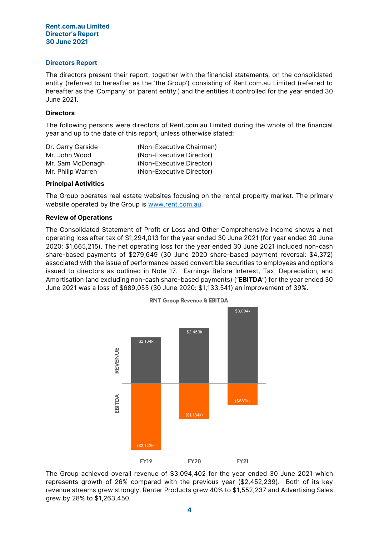#### Rent.com.au Limited Director's Report 30 June 2021

## Directors Report

The directors present their report, together with the financial statements, on the consolidated entity (referred to hereafter as the 'the Group') consisting of Rent.com.au Limited (referred to hereafter as the 'Company' or 'parent entity') and the entities it controlled for the year ended 30 June 2021.

## **Directors**

The following persons were directors of Rent.com.au Limited during the whole of the financial year and up to the date of this report, unless otherwise stated:

| Dr. Garry Garside | (Non-Executive Chairman) |
|-------------------|--------------------------|
| Mr. John Wood     | (Non-Executive Director) |
| Mr. Sam McDonagh  | (Non-Executive Director) |
| Mr. Philip Warren | (Non-Executive Director) |

## Principal Activities

The Group operates real estate websites focusing on the rental property market. The primary website operated by the Group is [www.rent.com.au.](http://www.rent.com.au/)

## Review of Operations

The Consolidated Statement of Profit or Loss and Other Comprehensive Income shows a net operating loss after tax of \$1,294,013 for the year ended 30 June 2021 (for year ended 30 June 2020: \$1,665,215). The net operating loss for the year ended 30 June 2021 included non-cash share-based payments of \$279,649 (30 June 2020 share-based payment reversal: \$4,372) associated with the issue of performance based convertible securities to employees and options issued to directors as outlined in Note 17. Earnings Before Interest, Tax, Depreciation, and Amortisation (and excluding non-cash share-based payments) ("EBITDA") for the year ended 30 June 2021 was a loss of \$689,055 (30 June 2020: \$1,133,541) an improvement of 39%.



The Group achieved overall revenue of \$3,094,402 for the year ended 30 June 2021 which represents growth of 26% compared with the previous year (\$2,452,239). Both of its key revenue streams grew strongly. Renter Products grew 40% to \$1,552,237 and Advertising Sales grew by 28% to \$1,263,450.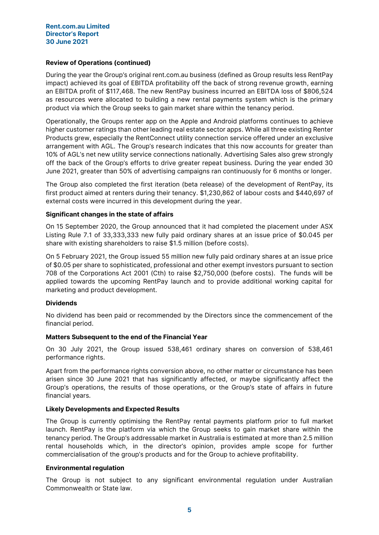## Review of Operations (continued)

During the year the Group's original rent.com.au business (defined as Group results less RentPay impact) achieved its goal of EBITDA profitability off the back of strong revenue growth, earning an EBITDA profit of \$117,468. The new RentPay business incurred an EBITDA loss of \$806,524 as resources were allocated to building a new rental payments system which is the primary product via which the Group seeks to gain market share within the tenancy period.

Operationally, the Groups renter app on the Apple and Android platforms continues to achieve higher customer ratings than other leading real estate sector apps. While all three existing Renter Products grew, especially the RentConnect utility connection service offered under an exclusive arrangement with AGL. The Group's research indicates that this now accounts for greater than 10% of AGL's net new utility service connections nationally. Advertising Sales also grew strongly off the back of the Group's efforts to drive greater repeat business. During the year ended 30 June 2021, greater than 50% of advertising campaigns ran continuously for 6 months or longer.

The Group also completed the first iteration (beta release) of the development of RentPay, its first product aimed at renters during their tenancy. \$1,230,862 of labour costs and \$440,697 of external costs were incurred in this development during the year.

## Significant changes in the state of affairs

On 15 September 2020, the Group announced that it had completed the placement under ASX Listing Rule 7.1 of 33,333,333 new fully paid ordinary shares at an issue price of \$0.045 per share with existing shareholders to raise \$1.5 million (before costs).

On 5 February 2021, the Group issued 55 million new fully paid ordinary shares at an issue price of \$0.05 per share to sophisticated, professional and other exempt investors pursuant to section 708 of the Corporations Act 2001 (Cth) to raise \$2,750,000 (before costs). The funds will be applied towards the upcoming RentPay launch and to provide additional working capital for marketing and product development.

## **Dividends**

No dividend has been paid or recommended by the Directors since the commencement of the financial period.

## Matters Subsequent to the end of the Financial Year

On 30 July 2021, the Group issued 538,461 ordinary shares on conversion of 538,461 performance rights.

Apart from the performance rights conversion above, no other matter or circumstance has been arisen since 30 June 2021 that has significantly affected, or maybe significantly affect the Group's operations, the results of those operations, or the Group's state of affairs in future financial years.

## Likely Developments and Expected Results

The Group is currently optimising the RentPay rental payments platform prior to full market launch. RentPay is the platform via which the Group seeks to gain market share within the tenancy period. The Group's addressable market in Australia is estimated at more than 2.5 million rental households which, in the director's opinion, provides ample scope for further commercialisation of the group's products and for the Group to achieve profitability.

#### Environmental regulation

The Group is not subject to any significant environmental regulation under Australian Commonwealth or State law.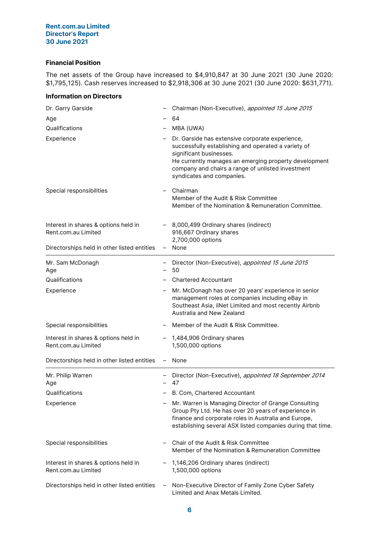## Rent.com.au Limited Director's Report 30 June 2021

## Financial Position

The net assets of the Group have increased to \$4,910,847 at 30 June 2021 (30 June 2020: \$1,795,125). Cash reserves increased to \$2,918,306 at 30 June 2021 (30 June 2020: \$631,771).

## Information on Directors

| Dr. Garry Garside                                           |                          | Chairman (Non-Executive), appointed 15 June 2015                                                                                                                                                                                                                             |
|-------------------------------------------------------------|--------------------------|------------------------------------------------------------------------------------------------------------------------------------------------------------------------------------------------------------------------------------------------------------------------------|
| Age                                                         |                          | 64                                                                                                                                                                                                                                                                           |
| Qualifications                                              |                          | MBA (UWA)                                                                                                                                                                                                                                                                    |
| Experience                                                  |                          | Dr. Garside has extensive corporate experience,<br>successfully establishing and operated a variety of<br>significant businesses.<br>He currently manages an emerging property development<br>company and chairs a range of unlisted investment<br>syndicates and companies. |
| Special responsibilities                                    |                          | Chairman<br>Member of the Audit & Risk Committee<br>Member of the Nomination & Remuneration Committee.                                                                                                                                                                       |
| Interest in shares & options held in<br>Rent.com.au Limited |                          | 8,000,499 Ordinary shares (indirect)<br>916,667 Ordinary shares<br>2,700,000 options                                                                                                                                                                                         |
| Directorships held in other listed entities                 | $\overline{\phantom{0}}$ | None                                                                                                                                                                                                                                                                         |
| Mr. Sam McDonagh<br>Age                                     |                          | Director (Non-Executive), appointed 15 June 2015<br>50                                                                                                                                                                                                                       |
| Qualifications                                              |                          | <b>Chartered Accountant</b>                                                                                                                                                                                                                                                  |
| Experience                                                  |                          | Mr. McDonagh has over 20 years' experience in senior<br>management roles at companies including eBay in<br>Southeast Asia, iiNet Limited and most recently Airbnb<br>Australia and New Zealand                                                                               |
| Special responsibilities                                    |                          | Member of the Audit & Risk Committee.                                                                                                                                                                                                                                        |
| Interest in shares & options held in<br>Rent.com.au Limited |                          | 1,484,906 Ordinary shares<br>1,500,000 options                                                                                                                                                                                                                               |
| Directorships held in other listed entities                 |                          | None                                                                                                                                                                                                                                                                         |
| Mr. Philip Warren<br>Age                                    | $\overline{\phantom{0}}$ | Director (Non-Executive), appointed 18 September 2014<br>47                                                                                                                                                                                                                  |
| Qualifications                                              |                          | B. Com, Chartered Accountant                                                                                                                                                                                                                                                 |
| Experience                                                  |                          | Mr. Warren is Managing Director of Grange Consulting<br>Group Pty Ltd. He has over 20 years of experience in<br>finance and corporate roles in Australia and Europe,<br>establishing several ASX listed companies during that time.                                          |
| Special responsibilities                                    |                          | Chair of the Audit & Risk Committee<br>Member of the Nomination & Remuneration Committee                                                                                                                                                                                     |
| Interest in shares & options held in<br>Rent.com.au Limited |                          | 1,146,206 Ordinary shares (indirect)<br>1,500,000 options                                                                                                                                                                                                                    |
| Directorships held in other listed entities                 | $\qquad \qquad -$        | Non-Executive Director of Family Zone Cyber Safety<br>Limited and Anax Metals Limited.                                                                                                                                                                                       |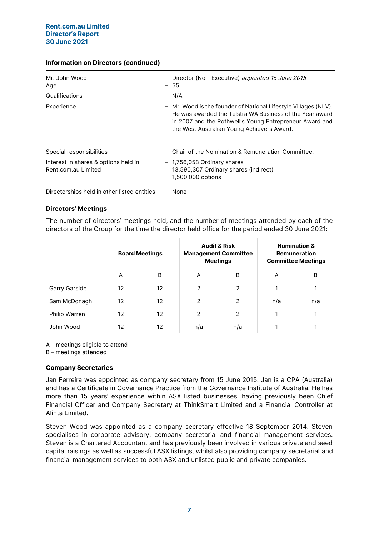## Information on Directors (continued)

| Mr. John Wood<br>Age                                        | - Director (Non-Executive) appointed 15 June 2015<br>$-55$                                                                                                                                                                           |
|-------------------------------------------------------------|--------------------------------------------------------------------------------------------------------------------------------------------------------------------------------------------------------------------------------------|
| Qualifications                                              | $- N/A$                                                                                                                                                                                                                              |
| Experience                                                  | - Mr. Wood is the founder of National Lifestyle Villages (NLV).<br>He was awarded the Telstra WA Business of the Year award<br>in 2007 and the Rothwell's Young Entrepreneur Award and<br>the West Australian Young Achievers Award. |
| Special responsibilities                                    | - Chair of the Nomination & Remuneration Committee.                                                                                                                                                                                  |
| Interest in shares & options held in<br>Rent.com.au Limited | - 1,756,058 Ordinary shares<br>13,590,307 Ordinary shares (indirect)<br>1,500,000 options                                                                                                                                            |

Directorships held in other listed entities – None

## Directors' Meetings

The number of directors' meetings held, and the number of meetings attended by each of the directors of the Group for the time the director held office for the period ended 30 June 2021:

|               | <b>Board Meetings</b> |    |                | <b>Audit &amp; Risk</b><br><b>Management Committee</b><br><b>Meetings</b> | <b>Nomination &amp;</b><br><b>Remuneration</b><br><b>Committee Meetings</b> |     |  |
|---------------|-----------------------|----|----------------|---------------------------------------------------------------------------|-----------------------------------------------------------------------------|-----|--|
|               | A                     | B  | A              | B                                                                         | A                                                                           | B   |  |
| Garry Garside | 12                    | 12 | $\overline{2}$ | 2                                                                         | 1                                                                           |     |  |
| Sam McDonagh  | 12                    | 12 | 2              | 2                                                                         | n/a                                                                         | n/a |  |
| Philip Warren | 12                    | 12 | $\mathcal{P}$  | $\mathcal{P}$                                                             | 1                                                                           |     |  |
| John Wood     | 12                    | 12 | n/a            | n/a                                                                       |                                                                             |     |  |

A – meetings eligible to attend

B – meetings attended

## Company Secretaries

Jan Ferreira was appointed as company secretary from 15 June 2015. Jan is a CPA (Australia) and has a Certificate in Governance Practice from the Governance Institute of Australia. He has more than 15 years' experience within ASX listed businesses, having previously been Chief Financial Officer and Company Secretary at ThinkSmart Limited and a Financial Controller at Alinta Limited.

Steven Wood was appointed as a company secretary effective 18 September 2014. Steven specialises in corporate advisory, company secretarial and financial management services. Steven is a Chartered Accountant and has previously been involved in various private and seed capital raisings as well as successful ASX listings, whilst also providing company secretarial and financial management services to both ASX and unlisted public and private companies.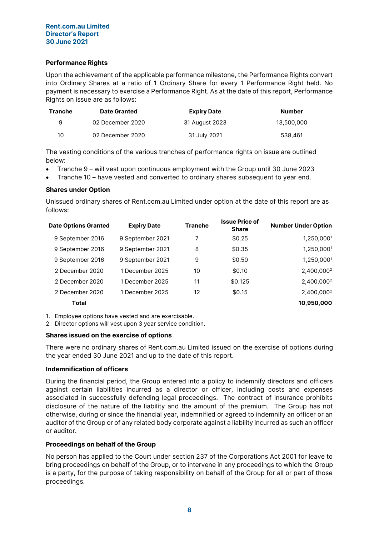## Rent.com.au Limited Director's Report 30 June 2021

## Performance Rights

Upon the achievement of the applicable performance milestone, the Performance Rights convert into Ordinary Shares at a ratio of 1 Ordinary Share for every 1 Performance Right held. No payment is necessary to exercise a Performance Right. As at the date of this report, Performance Rights on issue are as follows:

| Tranche | <b>Date Granted</b> | <b>Expiry Date</b> | <b>Number</b> |
|---------|---------------------|--------------------|---------------|
| 9       | 02 December 2020    | 31 August 2023     | 13.500.000    |
| 10      | 02 December 2020    | 31 July 2021       | 538,461       |

The vesting conditions of the various tranches of performance rights on issue are outlined below:

- Tranche 9 will vest upon continuous employment with the Group until 30 June 2023
- Tranche 10 have vested and converted to ordinary shares subsequent to year end.

## Shares under Option

Unissued ordinary shares of Rent.com.au Limited under option at the date of this report are as follows:

| \$0.25<br>9 September 2021<br>7<br>9 September 2016<br>\$0.35<br>9 September 2021<br>8<br>9 September 2016<br>\$0.50<br>9 September 2021<br>9 September 2016<br>9<br>\$0.10<br>1 December 2025<br>10<br>2 December 2020<br>\$0.125<br>1 December 2025<br>11<br>2 December 2020<br>\$0.15<br>2 December 2020<br>1 December 2025<br>12<br><b>Total</b> | <b>Date Options Granted</b> | <b>Expiry Date</b> | <b>Tranche</b> | <b>Issue Price of</b><br><b>Share</b> | <b>Number Under Option</b> |
|------------------------------------------------------------------------------------------------------------------------------------------------------------------------------------------------------------------------------------------------------------------------------------------------------------------------------------------------------|-----------------------------|--------------------|----------------|---------------------------------------|----------------------------|
|                                                                                                                                                                                                                                                                                                                                                      |                             |                    |                |                                       | 1,250,0001                 |
|                                                                                                                                                                                                                                                                                                                                                      |                             |                    |                |                                       | 1,250,0001                 |
|                                                                                                                                                                                                                                                                                                                                                      |                             |                    |                |                                       | 1,250,0001                 |
|                                                                                                                                                                                                                                                                                                                                                      |                             |                    |                |                                       | 2,400,000 <sup>2</sup>     |
|                                                                                                                                                                                                                                                                                                                                                      |                             |                    |                |                                       | 2,400,000 <sup>2</sup>     |
|                                                                                                                                                                                                                                                                                                                                                      |                             |                    |                |                                       | 2,400,000 <sup>2</sup>     |
|                                                                                                                                                                                                                                                                                                                                                      |                             |                    |                |                                       | 10,950,000                 |

1. Employee options have vested and are exercisable.

2. Director options will vest upon 3 year service condition.

#### Shares issued on the exercise of options

There were no ordinary shares of Rent.com.au Limited issued on the exercise of options during the year ended 30 June 2021 and up to the date of this report.

#### Indemnification of officers

During the financial period, the Group entered into a policy to indemnify directors and officers against certain liabilities incurred as a director or officer, including costs and expenses associated in successfully defending legal proceedings. The contract of insurance prohibits disclosure of the nature of the liability and the amount of the premium. The Group has not otherwise, during or since the financial year, indemnified or agreed to indemnify an officer or an auditor of the Group or of any related body corporate against a liability incurred as such an officer or auditor.

## Proceedings on behalf of the Group

No person has applied to the Court under section 237 of the Corporations Act 2001 for leave to bring proceedings on behalf of the Group, or to intervene in any proceedings to which the Group is a party, for the purpose of taking responsibility on behalf of the Group for all or part of those proceedings.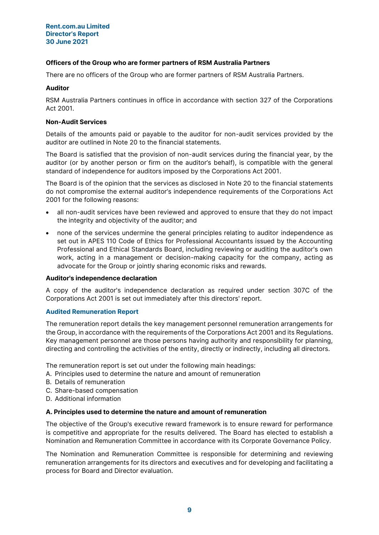## Officers of the Group who are former partners of RSM Australia Partners

There are no officers of the Group who are former partners of RSM Australia Partners.

## Auditor

RSM Australia Partners continues in office in accordance with section 327 of the Corporations Act 2001.

## Non-Audit Services

Details of the amounts paid or payable to the auditor for non-audit services provided by the auditor are outlined in Note 20 to the financial statements.

The Board is satisfied that the provision of non-audit services during the financial year, by the auditor (or by another person or firm on the auditor's behalf), is compatible with the general standard of independence for auditors imposed by the Corporations Act 2001.

The Board is of the opinion that the services as disclosed in Note 20 to the financial statements do not compromise the external auditor's independence requirements of the Corporations Act 2001 for the following reasons:

- all non-audit services have been reviewed and approved to ensure that they do not impact the integrity and objectivity of the auditor; and
- none of the services undermine the general principles relating to auditor independence as set out in APES 110 Code of Ethics for Professional Accountants issued by the Accounting Professional and Ethical Standards Board, including reviewing or auditing the auditor's own work, acting in a management or decision-making capacity for the company, acting as advocate for the Group or jointly sharing economic risks and rewards.

#### Auditor's independence declaration

A copy of the auditor's independence declaration as required under section 307C of the Corporations Act 2001 is set out immediately after this directors' report.

## Audited Remuneration Report

The remuneration report details the key management personnel remuneration arrangements for the Group, in accordance with the requirements of the Corporations Act 2001 and its Regulations. Key management personnel are those persons having authority and responsibility for planning, directing and controlling the activities of the entity, directly or indirectly, including all directors.

The remuneration report is set out under the following main headings:

- A. Principles used to determine the nature and amount of remuneration
- B. Details of remuneration
- C. Share-based compensation
- D. Additional information

#### A. Principles used to determine the nature and amount of remuneration

The objective of the Group's executive reward framework is to ensure reward for performance is competitive and appropriate for the results delivered. The Board has elected to establish a Nomination and Remuneration Committee in accordance with its Corporate Governance Policy.

The Nomination and Remuneration Committee is responsible for determining and reviewing remuneration arrangements for its directors and executives and for developing and facilitating a process for Board and Director evaluation.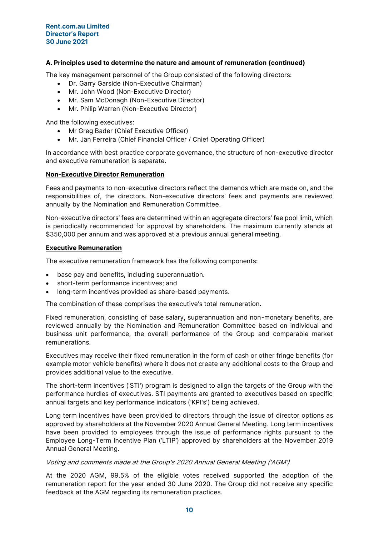#### Rent.com.au Limited Director's Report 30 June 2021

## A. Principles used to determine the nature and amount of remuneration (continued)

The key management personnel of the Group consisted of the following directors:

- Dr. Garry Garside (Non-Executive Chairman)
- Mr. John Wood (Non-Executive Director)
- Mr. Sam McDonagh (Non-Executive Director)
- Mr. Philip Warren (Non-Executive Director)

And the following executives:

- Mr Greg Bader (Chief Executive Officer)
- Mr. Jan Ferreira (Chief Financial Officer / Chief Operating Officer)

In accordance with best practice corporate governance, the structure of non-executive director and executive remuneration is separate.

## Non-Executive Director Remuneration

Fees and payments to non-executive directors reflect the demands which are made on, and the responsibilities of, the directors. Non-executive directors' fees and payments are reviewed annually by the Nomination and Remuneration Committee.

Non-executive directors' fees are determined within an aggregate directors' fee pool limit, which is periodically recommended for approval by shareholders. The maximum currently stands at \$350,000 per annum and was approved at a previous annual general meeting.

## Executive Remuneration

The executive remuneration framework has the following components:

- base pay and benefits, including superannuation.
- short-term performance incentives; and
- long-term incentives provided as share-based payments.

The combination of these comprises the executive's total remuneration.

Fixed remuneration, consisting of base salary, superannuation and non-monetary benefits, are reviewed annually by the Nomination and Remuneration Committee based on individual and business unit performance, the overall performance of the Group and comparable market remunerations.

Executives may receive their fixed remuneration in the form of cash or other fringe benefits (for example motor vehicle benefits) where it does not create any additional costs to the Group and provides additional value to the executive.

The short-term incentives ('STI') program is designed to align the targets of the Group with the performance hurdles of executives. STI payments are granted to executives based on specific annual targets and key performance indicators ('KPI's') being achieved.

Long term incentives have been provided to directors through the issue of director options as approved by shareholders at the November 2020 Annual General Meeting. Long term incentives have been provided to employees through the issue of performance rights pursuant to the Employee Long-Term Incentive Plan ('LTIP') approved by shareholders at the November 2019 Annual General Meeting.

#### Voting and comments made at the Group's 2020 Annual General Meeting ('AGM')

At the 2020 AGM, 99.5% of the eligible votes received supported the adoption of the remuneration report for the year ended 30 June 2020. The Group did not receive any specific feedback at the AGM regarding its remuneration practices.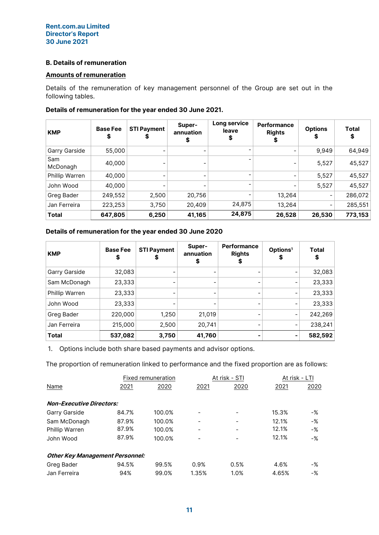## B. Details of remuneration

## Amounts of remuneration

Details of the remuneration of key management personnel of the Group are set out in the following tables.

| <b>KMP</b>      | <b>Base Fee</b><br>\$ | <b>STI Payment</b><br>æ      | Super-<br>annuation<br>\$ | Long service<br>leave<br>\$ | Performance<br><b>Rights</b> | <b>Options</b><br>S | <b>Total</b><br>S |
|-----------------|-----------------------|------------------------------|---------------------------|-----------------------------|------------------------------|---------------------|-------------------|
| Garry Garside   | 55,000                |                              |                           |                             |                              | 9,949               | 64,949            |
| Sam<br>McDonagh | 40,000                |                              |                           |                             |                              | 5,527               | 45,527            |
| Phillip Warren  | 40,000                | -                            |                           |                             |                              | 5,527               | 45,527            |
| John Wood       | 40,000                | $\qquad \qquad \blacksquare$ |                           |                             |                              | 5,527               | 45,527            |
| Greg Bader      | 249,552               | 2,500                        | 20,756                    |                             | 13,264                       | -                   | 286,072           |
| Jan Ferreira    | 223,253               | 3,750                        | 20,409                    | 24,875                      | 13,264                       | -                   | 285,551           |
| Total           | 647,805               | 6,250                        | 41,165                    | 24,875                      | 26,528                       | 26,530              | 773,153           |

## Details of remuneration for the year ended 30 June 2021.

## Details of remuneration for the year ended 30 June 2020

| <b>KMP</b>     | <b>Base Fee</b><br>\$ | <b>STI Payment</b> | Super-<br>annuation | <b>Performance</b><br><b>Rights</b><br>\$ | Options <sup>1</sup><br>\$ | Total<br>\$ |
|----------------|-----------------------|--------------------|---------------------|-------------------------------------------|----------------------------|-------------|
| Garry Garside  | 32,083                |                    |                     |                                           | -                          | 32,083      |
| Sam McDonagh   | 23,333                |                    |                     |                                           | -                          | 23,333      |
| Phillip Warren | 23,333                |                    |                     |                                           | -                          | 23,333      |
| John Wood      | 23,333                |                    |                     | -                                         | -                          | 23,333      |
| Greg Bader     | 220,000               | 1,250              | 21,019              | -                                         | $\overline{\phantom{a}}$   | 242,269     |
| Jan Ferreira   | 215,000               | 2,500              | 20,741              |                                           | -                          | 238,241     |
| <b>Total</b>   | 537,082               | 3,750              | 41,760              |                                           | $\overline{\phantom{a}}$   | 582,592     |

1. Options include both share based payments and advisor options.

The proportion of remuneration linked to performance and the fixed proportion are as follows:

|                                        |       | Fixed remuneration |       | At risk - STI | At risk - LTI |       |
|----------------------------------------|-------|--------------------|-------|---------------|---------------|-------|
| Name                                   | 2021  | 2020               | 2021  | 2020          | 2021          | 2020  |
| <b>Non-Executive Directors:</b>        |       |                    |       |               |               |       |
| Garry Garside                          | 84.7% | 100.0%             |       |               | 15.3%         | -%    |
| Sam McDonagh                           | 87.9% | 100.0%             |       |               | 12.1%         | $-$ % |
| <b>Phillip Warren</b>                  | 87.9% | 100.0%             |       |               | 12.1%         | $-$ % |
| John Wood                              | 87.9% | 100.0%             |       |               | 12.1%         | -%    |
| <b>Other Key Management Personnel:</b> |       |                    |       |               |               |       |
| Greg Bader                             | 94.5% | 99.5%              | 0.9%  | 0.5%          | 4.6%          | -%    |
| Jan Ferreira                           | 94%   | 99.0%              | 1.35% | 1.0%          | 4.65%         | -%    |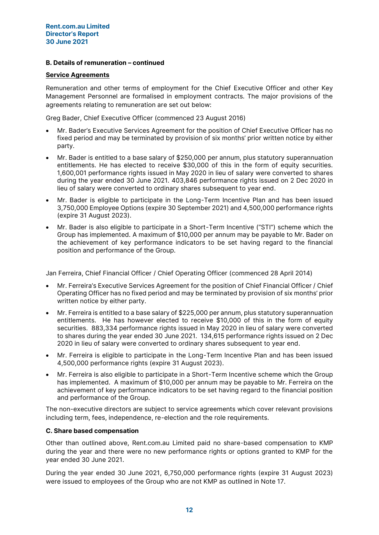## B. Details of remuneration – continued

#### Service Agreements

Remuneration and other terms of employment for the Chief Executive Officer and other Key Management Personnel are formalised in employment contracts. The major provisions of the agreements relating to remuneration are set out below:

Greg Bader, Chief Executive Officer (commenced 23 August 2016)

- Mr. Bader's Executive Services Agreement for the position of Chief Executive Officer has no fixed period and may be terminated by provision of six months' prior written notice by either party.
- Mr. Bader is entitled to a base salary of \$250,000 per annum, plus statutory superannuation entitlements. He has elected to receive \$30,000 of this in the form of equity securities. 1,600,001 performance rights issued in May 2020 in lieu of salary were converted to shares during the year ended 30 June 2021. 403,846 performance rights issued on 2 Dec 2020 in lieu of salary were converted to ordinary shares subsequent to year end.
- Mr. Bader is eligible to participate in the Long-Term Incentive Plan and has been issued 3,750,000 Employee Options (expire 30 September 2021) and 4,500,000 performance rights (expire 31 August 2023).
- Mr. Bader is also eligible to participate in a Short-Term Incentive ("STI") scheme which the Group has implemented. A maximum of \$10,000 per annum may be payable to Mr. Bader on the achievement of key performance indicators to be set having regard to the financial position and performance of the Group.

Jan Ferreira, Chief Financial Officer / Chief Operating Officer (commenced 28 April 2014)

- Mr. Ferreira's Executive Services Agreement for the position of Chief Financial Officer / Chief Operating Officer has no fixed period and may be terminated by provision of six months' prior written notice by either party.
- Mr. Ferreira is entitled to a base salary of \$225,000 per annum, plus statutory superannuation entitlements. He has however elected to receive \$10,000 of this in the form of equity securities. 883,334 performance rights issued in May 2020 in lieu of salary were converted to shares during the year ended 30 June 2021. 134,615 performance rights issued on 2 Dec 2020 in lieu of salary were converted to ordinary shares subsequent to year end.
- Mr. Ferreira is eligible to participate in the Long-Term Incentive Plan and has been issued 4,500,000 performance rights (expire 31 August 2023).
- Mr. Ferreira is also eligible to participate in a Short-Term Incentive scheme which the Group has implemented. A maximum of \$10,000 per annum may be payable to Mr. Ferreira on the achievement of key performance indicators to be set having regard to the financial position and performance of the Group.

The non-executive directors are subject to service agreements which cover relevant provisions including term, fees, independence, re-election and the role requirements.

## C. Share based compensation

Other than outlined above, Rent.com.au Limited paid no share-based compensation to KMP during the year and there were no new performance rights or options granted to KMP for the year ended 30 June 2021.

During the year ended 30 June 2021, 6,750,000 performance rights (expire 31 August 2023) were issued to employees of the Group who are not KMP as outlined in Note 17.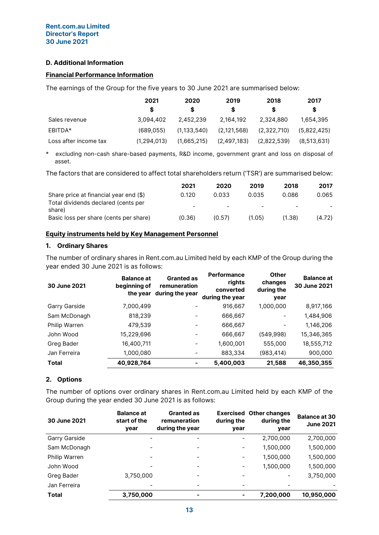## D. Additional Information

## Financial Performance Information

The earnings of the Group for the five years to 30 June 2021 are summarised below:

|                       | 2021        | 2020          | 2019        | 2018        | 2017        |
|-----------------------|-------------|---------------|-------------|-------------|-------------|
|                       |             | S             | S           |             | S           |
| Sales revenue         | 3.094.402   | 2.452.239     | 2,164,192   | 2,324,880   | 1,654,395   |
| EBITDA*               | (689.055)   | (1, 133, 540) | (2,121,568) | (2,322,710) | (5,822,425) |
| Loss after income tax | (1.294.013) | (1,665,215)   | (2,497,183) | (2,822,539) | (8,513,631) |

\* excluding non-cash share-based payments, R&D income, government grant and loss on disposal of asset.

The factors that are considered to affect total shareholders return ('TSR') are summarised below:

|                                               | 2021                     | 2020   | 2019                     | 2018   | 2017   |
|-----------------------------------------------|--------------------------|--------|--------------------------|--------|--------|
| Share price at financial year end (\$)        | 0.120                    | 0.033  | 0.035                    | 0.086  | 0.065  |
| Total dividends declared (cents per<br>share) | $\overline{\phantom{0}}$ | -      | $\overline{\phantom{0}}$ | -      |        |
| Basic loss per share (cents per share)        | (0.36)                   | (0.57) | (1.05)                   | (1.38) | (4.72) |

## Equity instruments held by Key Management Personnel

#### 1. Ordinary Shares

The number of ordinary shares in Rent.com.au Limited held by each KMP of the Group during the year ended 30 June 2021 is as follows:

| 30 June 2021  | <b>Balance at</b><br>beginning of | <b>Granted as</b><br>remuneration<br>the year during the year | <b>Performance</b><br>rights<br>converted<br>during the year | <b>Other</b><br>changes<br>during the<br>year | <b>Balance at</b><br>30 June 2021 |
|---------------|-----------------------------------|---------------------------------------------------------------|--------------------------------------------------------------|-----------------------------------------------|-----------------------------------|
| Garry Garside | 7,000,499                         |                                                               | 916,667                                                      | 1,000,000                                     | 8,917,166                         |
| Sam McDonagh  | 818,239                           |                                                               | 666,667                                                      |                                               | 1,484,906                         |
| Philip Warren | 479,539                           | $\overline{\phantom{0}}$                                      | 666,667                                                      |                                               | 1,146,206                         |
| John Wood     | 15,229,696                        |                                                               | 666,667                                                      | (549,998)                                     | 15,346,365                        |
| Greg Bader    | 16,400,711                        |                                                               | 1,600,001                                                    | 555,000                                       | 18,555,712                        |
| Jan Ferreira  | 1,000,080                         |                                                               | 883,334                                                      | (983, 414)                                    | 900,000                           |
| <b>Total</b>  | 40,928,764                        |                                                               | 5,400,003                                                    | 21,588                                        | 46,350,355                        |

## 2. Options

The number of options over ordinary shares in Rent.com.au Limited held by each KMP of the Group during the year ended 30 June 2021 is as follows:

| 30 June 2021  | <b>Balance at</b><br>start of the<br>vear | <b>Granted as</b><br>remuneration<br>during the year | during the<br>year       | <b>Exercised Other changes</b><br>during the<br>vear | <b>Balance at 30</b><br><b>June 2021</b> |
|---------------|-------------------------------------------|------------------------------------------------------|--------------------------|------------------------------------------------------|------------------------------------------|
| Garry Garside |                                           |                                                      | $\overline{\phantom{a}}$ | 2,700,000                                            | 2,700,000                                |
| Sam McDonagh  |                                           | -                                                    | $\overline{\phantom{a}}$ | 1,500,000                                            | 1,500,000                                |
| Philip Warren | $\overline{\phantom{a}}$                  | -                                                    | $\overline{\phantom{a}}$ | 1,500,000                                            | 1,500,000                                |
| John Wood     |                                           |                                                      | $\overline{\phantom{a}}$ | 1,500,000                                            | 1,500,000                                |
| Greg Bader    | 3,750,000                                 | -                                                    | $\overline{\phantom{a}}$ | ۰                                                    | 3,750,000                                |
| Jan Ferreira  |                                           | -                                                    | $\overline{\phantom{a}}$ |                                                      |                                          |
| <b>Total</b>  | 3,750,000                                 | -                                                    | $\overline{\phantom{a}}$ | 7,200,000                                            | 10,950,000                               |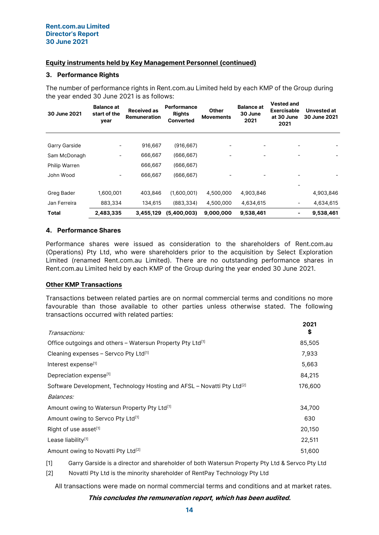## Equity instruments held by Key Management Personnel (continued)

## 3. Performance Rights

The number of performance rights in Rent.com.au Limited held by each KMP of the Group during the year ended 30 June 2021 is as follows: Vested and

| 30 June 2021  | <b>Balance at</b><br>start of the<br>year | <b>Received as</b><br>Remuneration | <b>Performance</b><br><b>Rights</b><br><b>Converted</b> | Other<br><b>Movements</b> | <b>Balance at</b><br>30 June<br>2021 | <b>Vested and</b><br><b>Exercisable</b><br>at 30 June<br>2021 | Unvested at<br>30 June 2021 |
|---------------|-------------------------------------------|------------------------------------|---------------------------------------------------------|---------------------------|--------------------------------------|---------------------------------------------------------------|-----------------------------|
|               |                                           |                                    |                                                         |                           |                                      |                                                               |                             |
| Garry Garside |                                           | 916,667                            | (916, 667)                                              |                           |                                      |                                                               |                             |
| Sam McDonagh  |                                           | 666,667                            | (666, 667)                                              |                           | -                                    |                                                               |                             |
| Philip Warren |                                           | 666,667                            | (666,667)                                               |                           |                                      |                                                               |                             |
| John Wood     |                                           | 666,667                            | (666.667)                                               |                           |                                      |                                                               |                             |
|               |                                           |                                    |                                                         |                           |                                      |                                                               |                             |
| Greg Bader    | 1,600,001                                 | 403,846                            | (1,600,001)                                             | 4,500,000                 | 4,903,846                            |                                                               | 4,903,846                   |
| Jan Ferreira  | 883,334                                   | 134,615                            | (883, 334)                                              | 4,500,000                 | 4,634,615                            | $\overline{\phantom{a}}$                                      | 4,634,615                   |
| <b>Total</b>  | 2,483,335                                 | 3,455,129                          | (5,400,003)                                             | 9,000,000                 | 9,538,461                            | ۰                                                             | 9,538,461                   |

## 4. Performance Shares

Performance shares were issued as consideration to the shareholders of Rent.com.au (Operations) Pty Ltd, who were shareholders prior to the acquisition by Select Exploration Limited (renamed Rent.com.au Limited). There are no outstanding performance shares in Rent.com.au Limited held by each KMP of the Group during the year ended 30 June 2021.

## Other KMP Transactions

Transactions between related parties are on normal commercial terms and conditions no more favourable than those available to other parties unless otherwise stated. The following transactions occurred with related parties:

|                                                                                    | 2021    |
|------------------------------------------------------------------------------------|---------|
| Transactions:                                                                      | S       |
| Office outgoings and others - Watersun Property Pty Ltd[1]                         | 85,505  |
| Cleaning expenses – Servco Pty Ltd $^{[1]}$                                        | 7,933   |
| Interest expense <sup>[1]</sup>                                                    | 5,663   |
| Depreciation expense <sup>[1]</sup>                                                | 84,215  |
| Software Development, Technology Hosting and AFSL – Novatti Pty Ltd <sup>[2]</sup> | 176,600 |
| <i>Balances:</i>                                                                   |         |
| Amount owing to Watersun Property Pty Ltd <sup>[1]</sup>                           | 34,700  |
| Amount owing to Servco Pty Ltd <sup>[1]</sup>                                      | 630     |
| Right of use asset <sup>[1]</sup>                                                  | 20,150  |
| Lease liability <sup>[1]</sup>                                                     | 22,511  |
| Amount owing to Novatti Pty Ltd <sup>[2]</sup>                                     | 51,600  |
|                                                                                    |         |

[1] Garry Garside is a director and shareholder of both Watersun Property Pty Ltd & Servco Pty Ltd

[2] Novatti Pty Ltd is the minority shareholder of RentPay Technology Pty Ltd

All transactions were made on normal commercial terms and conditions and at market rates.

This concludes the remuneration report, which has been audited.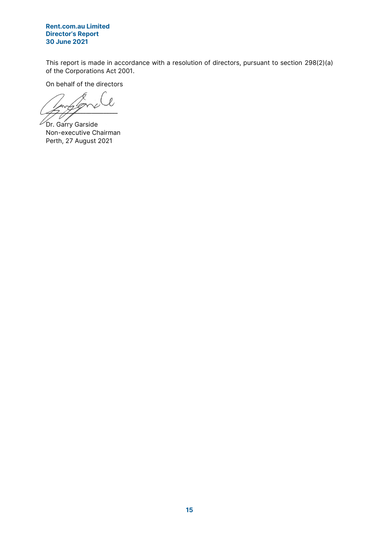## Rent.com.au Limited Director's Report 30 June 2021

This report is made in accordance with a resolution of directors, pursuant to section 298(2)(a) of the Corporations Act 2001.

On behalf of the directors

 $\mathcal{O}$  $\frac{1}{2}$ **Dr.** Garry Garside

Non-executive Chairman Perth, 27 August 2021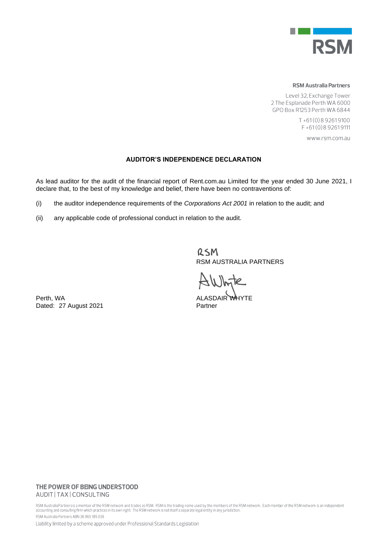

#### **RSM Australia Partners**

Level 32, Exchange Tower 2 The Esplanade Perth WA 6000 GPO Box R1253 Perth WA 6844

> T+61(0) 892619100 F+61(0)892619111

> > www.rsm.com.au

#### **AUDITOR'S INDEPENDENCE DECLARATION**

As lead auditor for the audit of the financial report of Rent.com.au Limited for the year ended 30 June 2021, I declare that, to the best of my knowledge and belief, there have been no contraventions of:

- (i) the auditor independence requirements of the *Corporations Act 2001* in relation to the audit; and
- (ii) any applicable code of professional conduct in relation to the audit.

RSM RSM AUSTRALIA PARTNERS

Perth, WA **ALASDAIR WHYTE** 

Dated: 27 August 2021 Partner

### THE POWER OF BEING UNDERSTOOD AUDIT | TAX | CONSULTING

RSM Australia Partners is a member of the RSM network and trades as RSM. RSM is the trading name used by the members of the RSM network. Each member of the RSM network is an independent accounting and consulting firm which practices in its own right. The RSM network is not itself a separate legal entity in any jurisdiction. RSM Australia Partners ABN 36 965 185 036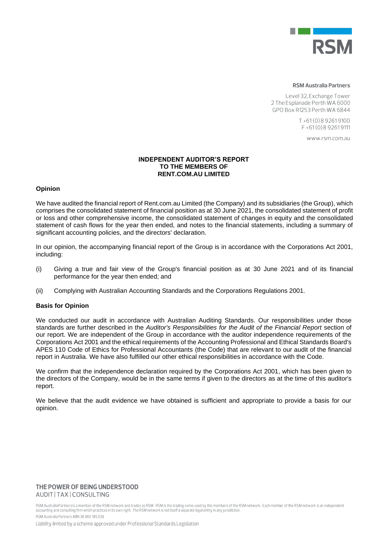

#### **RSM Australia Partners**

Level 32, Exchange Tower 2 The Esplanade Perth WA 6000 GPO Box R1253 Perth WA 6844

> $T + 61(0)892619100$ F+61(0)892619111

> > WWW.rsm.com.au

#### **INDEPENDENT AUDITOR'S REPORT TO THE MEMBERS OF RENT.COM.AU LIMITED**

#### **Opinion**

We have audited the financial report of Rent.com.au Limited (the Company) and its subsidiaries (the Group), which comprises the consolidated statement of financial position as at 30 June 2021, the consolidated statement of profit or loss and other comprehensive income, the consolidated statement of changes in equity and the consolidated statement of cash flows for the year then ended, and notes to the financial statements, including a summary of significant accounting policies, and the directors' declaration.

In our opinion, the accompanying financial report of the Group is in accordance with the Corporations Act 2001, including:

- (i) Giving a true and fair view of the Group's financial position as at 30 June 2021 and of its financial performance for the year then ended; and
- (ii) Complying with Australian Accounting Standards and the Corporations Regulations 2001.

#### **Basis for Opinion**

We conducted our audit in accordance with Australian Auditing Standards. Our responsibilities under those standards are further described in the *Auditor's Responsibilities for the Audit of the Financial Report* section of our report. We are independent of the Group in accordance with the auditor independence requirements of the Corporations Act 2001 and the ethical requirements of the Accounting Professional and Ethical Standards Board's APES 110 Code of Ethics for Professional Accountants (the Code) that are relevant to our audit of the financial report in Australia. We have also fulfilled our other ethical responsibilities in accordance with the Code.

We confirm that the independence declaration required by the Corporations Act 2001, which has been given to the directors of the Company, would be in the same terms if given to the directors as at the time of this auditor's report.

We believe that the audit evidence we have obtained is sufficient and appropriate to provide a basis for our opinion.

#### THE POWER OF BEING UNDERSTOOD AUDIT | TAX | CONSULTING

RSM Australia Partners is a member of the RSM network and trades as RSM. RSM is the trading name used by the members of the RSM network. Each member of the RSM network is an independent accounting and consulting firm which practices in its own right. The RSM network is not itself a separate legal entity in any jurisdiction. RSM Australia Partners ARN 36 965 185 036

Liability limited by a scheme approved under Professional Standards Legislation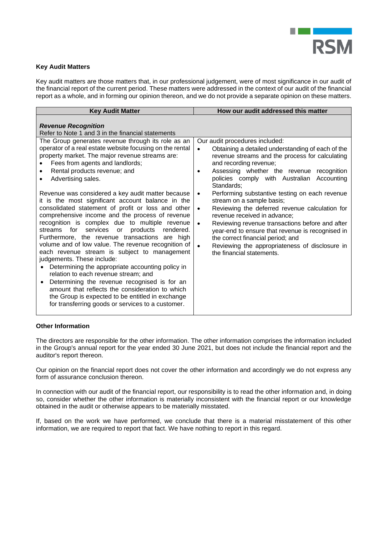

## **Key Audit Matters**

Key audit matters are those matters that, in our professional judgement, were of most significance in our audit of the financial report of the current period. These matters were addressed in the context of our audit of the financial report as a whole, and in forming our opinion thereon, and we do not provide a separate opinion on these matters.

| <b>Key Audit Matter</b>                                                                                                                                                                                                                                                                                                                                                                                                                                                                                                                                                                                                                                                                                                                                                                                                                                                                                                                                                                                                                                                                         | How our audit addressed this matter                                                                                                                                                                                                                                                                                                                                                                                                                                                                                                                                                                                                                                                                                                         |
|-------------------------------------------------------------------------------------------------------------------------------------------------------------------------------------------------------------------------------------------------------------------------------------------------------------------------------------------------------------------------------------------------------------------------------------------------------------------------------------------------------------------------------------------------------------------------------------------------------------------------------------------------------------------------------------------------------------------------------------------------------------------------------------------------------------------------------------------------------------------------------------------------------------------------------------------------------------------------------------------------------------------------------------------------------------------------------------------------|---------------------------------------------------------------------------------------------------------------------------------------------------------------------------------------------------------------------------------------------------------------------------------------------------------------------------------------------------------------------------------------------------------------------------------------------------------------------------------------------------------------------------------------------------------------------------------------------------------------------------------------------------------------------------------------------------------------------------------------------|
| <b>Revenue Recognition</b><br>Refer to Note 1 and 3 in the financial statements                                                                                                                                                                                                                                                                                                                                                                                                                                                                                                                                                                                                                                                                                                                                                                                                                                                                                                                                                                                                                 |                                                                                                                                                                                                                                                                                                                                                                                                                                                                                                                                                                                                                                                                                                                                             |
| The Group generates revenue through its role as an<br>operator of a real estate website focusing on the rental<br>property market. The major revenue streams are:<br>Fees from agents and landlords;<br>Rental products revenue; and<br>Advertising sales.<br>Revenue was considered a key audit matter because<br>it is the most significant account balance in the<br>consolidated statement of profit or loss and other<br>comprehensive income and the process of revenue<br>recognition is complex due to multiple revenue<br>products rendered.<br>streams for<br>services or<br>Furthermore, the revenue transactions are high<br>volume and of low value. The revenue recognition of<br>each revenue stream is subject to management<br>judgements. These include:<br>Determining the appropriate accounting policy in<br>relation to each revenue stream; and<br>Determining the revenue recognised is for an<br>$\bullet$<br>amount that reflects the consideration to which<br>the Group is expected to be entitled in exchange<br>for transferring goods or services to a customer. | Our audit procedures included:<br>Obtaining a detailed understanding of each of the<br>$\bullet$<br>revenue streams and the process for calculating<br>and recording revenue;<br>Assessing whether the revenue recognition<br>٠<br>policies comply with Australian Accounting<br>Standards:<br>Performing substantive testing on each revenue<br>$\bullet$<br>stream on a sample basis;<br>Reviewing the deferred revenue calculation for<br>$\bullet$<br>revenue received in advance;<br>Reviewing revenue transactions before and after<br>$\bullet$<br>year-end to ensure that revenue is recognised in<br>the correct financial period; and<br>Reviewing the appropriateness of disclosure in<br>$\bullet$<br>the financial statements. |

#### **Other Information**

The directors are responsible for the other information. The other information comprises the information included in the Group's annual report for the year ended 30 June 2021, but does not include the financial report and the auditor's report thereon.

Our opinion on the financial report does not cover the other information and accordingly we do not express any form of assurance conclusion thereon.

In connection with our audit of the financial report, our responsibility is to read the other information and, in doing so, consider whether the other information is materially inconsistent with the financial report or our knowledge obtained in the audit or otherwise appears to be materially misstated.

If, based on the work we have performed, we conclude that there is a material misstatement of this other information, we are required to report that fact. We have nothing to report in this regard.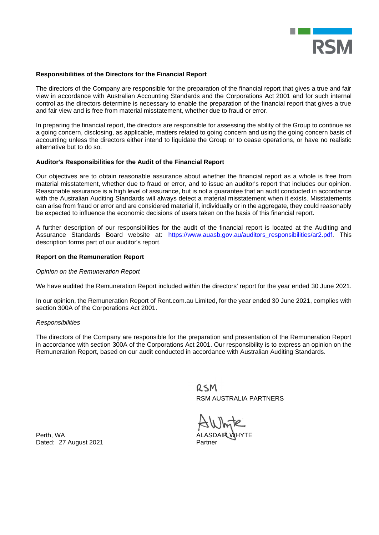

#### **Responsibilities of the Directors for the Financial Report**

The directors of the Company are responsible for the preparation of the financial report that gives a true and fair view in accordance with Australian Accounting Standards and the Corporations Act 2001 and for such internal control as the directors determine is necessary to enable the preparation of the financial report that gives a true and fair view and is free from material misstatement, whether due to fraud or error.

In preparing the financial report, the directors are responsible for assessing the ability of the Group to continue as a going concern, disclosing, as applicable, matters related to going concern and using the going concern basis of accounting unless the directors either intend to liquidate the Group or to cease operations, or have no realistic alternative but to do so.

#### **Auditor's Responsibilities for the Audit of the Financial Report**

Our objectives are to obtain reasonable assurance about whether the financial report as a whole is free from material misstatement, whether due to fraud or error, and to issue an auditor's report that includes our opinion. Reasonable assurance is a high level of assurance, but is not a guarantee that an audit conducted in accordance with the Australian Auditing Standards will always detect a material misstatement when it exists. Misstatements can arise from fraud or error and are considered material if, individually or in the aggregate, they could reasonably be expected to influence the economic decisions of users taken on the basis of this financial report.

A further description of our responsibilities for the audit of the financial report is located at the Auditing and Assurance Standards Board website at: https://www.auasb.gov.au/auditors\_responsibilities/ar2.pdf. This description forms part of our auditor's report.

#### **Report on the Remuneration Report**

#### *Opinion on the Remuneration Report*

We have audited the Remuneration Report included within the directors' report for the year ended 30 June 2021.

In our opinion, the Remuneration Report of Rent.com.au Limited, for the year ended 30 June 2021, complies with section 300A of the Corporations Act 2001.

#### *Responsibilities*

The directors of the Company are responsible for the preparation and presentation of the Remuneration Report in accordance with section 300A of the Corporations Act 2001. Our responsibility is to express an opinion on the Remuneration Report, based on our audit conducted in accordance with Australian Auditing Standards.

> RSM RSM AUSTRALIA PARTNERS

Perth, WA Dated: 27 August 2021 Partner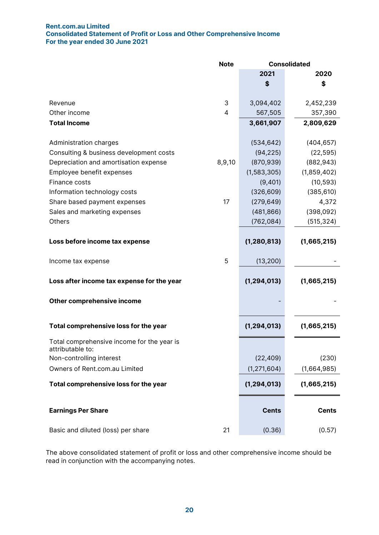## Rent.com.au Limited Consolidated Statement of Profit or Loss and Other Comprehensive Income For the year ended 30 June 2021

|                                                                | <b>Note</b> |               | <b>Consolidated</b> |
|----------------------------------------------------------------|-------------|---------------|---------------------|
|                                                                |             | 2021          | 2020                |
|                                                                |             | \$            | \$                  |
| Revenue                                                        | 3           |               |                     |
| Other income                                                   | 4           | 3,094,402     | 2,452,239           |
|                                                                |             | 567,505       | 357,390             |
| <b>Total Income</b>                                            |             | 3,661,907     | 2,809,629           |
| Administration charges                                         |             | (534, 642)    | (404, 657)          |
| Consulting & business development costs                        |             | (94, 225)     | (22, 595)           |
| Depreciation and amortisation expense                          | 8,9,10      | (870, 939)    | (882, 943)          |
| Employee benefit expenses                                      |             | (1,583,305)   | (1,859,402)         |
| Finance costs                                                  |             | (9,401)       | (10, 593)           |
| Information technology costs                                   |             | (326, 609)    | (385, 610)          |
| Share based payment expenses                                   | 17          | (279, 649)    | 4,372               |
| Sales and marketing expenses                                   |             | (481, 866)    | (398,092)           |
| Others                                                         |             | (762, 084)    | (515, 324)          |
| Loss before income tax expense                                 |             | (1, 280, 813) | (1,665,215)         |
| Income tax expense                                             | 5           | (13, 200)     |                     |
| Loss after income tax expense for the year                     |             | (1, 294, 013) | (1,665,215)         |
| Other comprehensive income                                     |             |               |                     |
| Total comprehensive loss for the year                          |             | (1, 294, 013) | (1,665,215)         |
| Total comprehensive income for the year is<br>attributable to: |             |               |                     |
| Non-controlling interest                                       |             | (22, 409)     | (230)               |
| Owners of Rent.com.au Limited                                  |             | (1, 271, 604) | (1,664,985)         |
| Total comprehensive loss for the year                          |             | (1, 294, 013) | (1,665,215)         |
| <b>Earnings Per Share</b>                                      |             | <b>Cents</b>  | <b>Cents</b>        |
| Basic and diluted (loss) per share                             | 21          | (0.36)        | (0.57)              |

The above consolidated statement of profit or loss and other comprehensive income should be read in conjunction with the accompanying notes.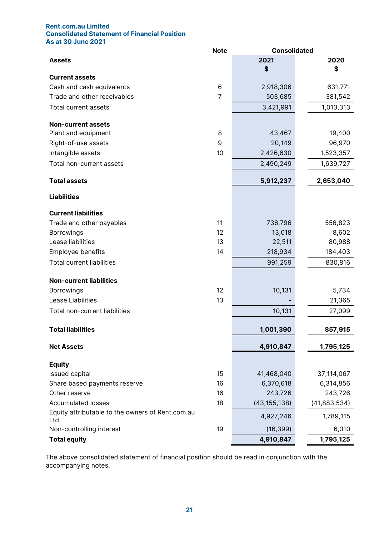## Rent.com.au Limited Consolidated Statement of Financial Position As at 30 June 2021

|                                                         | <b>Note</b>    | <b>Consolidated</b> |              |
|---------------------------------------------------------|----------------|---------------------|--------------|
| <b>Assets</b>                                           |                | 2021                | 2020         |
|                                                         |                | \$                  | \$           |
| <b>Current assets</b>                                   |                |                     |              |
| Cash and cash equivalents                               | 6              | 2,918,306           | 631,771      |
| Trade and other receivables                             | $\overline{7}$ | 503,685             | 381,542      |
| Total current assets                                    |                | 3,421,991           | 1,013,313    |
| <b>Non-current assets</b>                               |                |                     |              |
| Plant and equipment                                     | 8              | 43,467              | 19,400       |
| Right-of-use assets                                     | 9              | 20,149              | 96,970       |
| Intangible assets                                       | 10             | 2,426,630           | 1,523,357    |
| Total non-current assets                                |                | 2,490,249           | 1,639,727    |
| <b>Total assets</b>                                     |                | 5,912,237           | 2,653,040    |
| <b>Liabilities</b>                                      |                |                     |              |
| <b>Current liabilities</b>                              |                |                     |              |
| Trade and other payables                                | 11             | 736,796             | 556,823      |
| <b>Borrowings</b>                                       | 12             | 13,018              | 8,602        |
| Lease liabilities                                       | 13             | 22,511              | 80,988       |
| Employee benefits                                       | 14             | 218,934             | 184,403      |
| <b>Total current liabilities</b>                        |                | 991,259             | 830,816      |
| <b>Non-current liabilities</b>                          |                |                     |              |
| <b>Borrowings</b>                                       | 12             | 10,131              | 5,734        |
| Lease Liabilities                                       | 13             |                     | 21,365       |
| Total non-current liabilities                           |                | 10,131              | 27,099       |
| <b>Total liabilities</b>                                |                | 1,001,390           | 857,915      |
| <b>Net Assets</b>                                       |                | 4,910,847           | 1,795,125    |
| <b>Equity</b>                                           |                |                     |              |
| Issued capital                                          | 15             | 41,468,040          | 37,114,067   |
| Share based payments reserve                            | 16             | 6,370,618           | 6,314,856    |
| Other reserve                                           | 16             | 243,726             | 243,726      |
| <b>Accumulated losses</b>                               | 18             | (43, 155, 138)      | (41,883,534) |
| Equity attributable to the owners of Rent.com.au<br>Ltd |                | 4,927,246           | 1,789,115    |
| Non-controlling interest                                | 19             | (16, 399)           | 6,010        |
| <b>Total equity</b>                                     |                | 4,910,847           | 1,795,125    |

The above consolidated statement of financial position should be read in conjunction with the accompanying notes.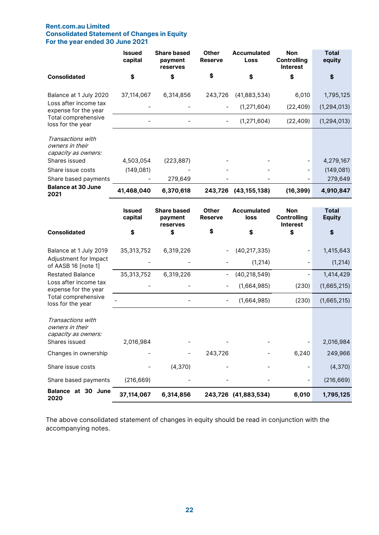## Rent.com.au Limited Consolidated Statement of Changes in Equity For the year ended 30 June 2021

|                                                             | <b>Issued</b><br>capital | <b>Share based</b><br>payment<br>reserves | <b>Other</b><br><b>Reserve</b> | <b>Accumulated</b><br>Loss | <b>Non</b><br><b>Controlling</b><br><b>Interest</b> | <b>Total</b><br>equity        |
|-------------------------------------------------------------|--------------------------|-------------------------------------------|--------------------------------|----------------------------|-----------------------------------------------------|-------------------------------|
| <b>Consolidated</b>                                         | \$                       | \$                                        | \$                             | \$                         | \$                                                  | \$                            |
| Balance at 1 July 2020<br>Loss after income tax             | 37,114,067               | 6,314,856                                 | 243,726                        | (41,883,534)               | 6,010                                               | 1,795,125                     |
| expense for the year                                        |                          |                                           |                                | (1, 271, 604)              | (22, 409)                                           | (1, 294, 013)                 |
| Total comprehensive<br>loss for the year                    |                          |                                           |                                | (1, 271, 604)              | (22, 409)                                           | (1, 294, 013)                 |
| Transactions with<br>owners in their<br>capacity as owners: |                          |                                           |                                |                            |                                                     |                               |
| Shares issued                                               | 4,503,054                | (223, 887)                                |                                |                            |                                                     | 4,279,167                     |
| Share issue costs                                           | (149, 081)               |                                           |                                |                            |                                                     | (149, 081)                    |
| Share based payments<br><b>Balance at 30 June</b>           |                          | 279,649                                   |                                |                            |                                                     | 279,649                       |
| 2021                                                        | 41,468,040               | 6,370,618                                 | 243,726                        | (43, 155, 138)             | (16, 399)                                           | 4,910,847                     |
|                                                             | <b>Issued</b><br>capital | <b>Share based</b><br>payment<br>reserves | <b>Other</b><br><b>Reserve</b> | <b>Accumulated</b><br>loss | <b>Non</b><br><b>Controlling</b><br><b>Interest</b> | <b>Total</b><br><b>Equity</b> |
| <b>Consolidated</b>                                         | \$                       | \$                                        | \$                             | \$                         | \$                                                  | \$                            |
| Balance at 1 July 2019                                      | 35,313,752               | 6,319,226                                 |                                | (40, 217, 335)             |                                                     | 1,415,643                     |
| Adjustment for Impact<br>of AASB 16 [note 1]                |                          |                                           |                                | (1, 214)                   |                                                     | (1, 214)                      |
| <b>Restated Balance</b>                                     | 35,313,752               | 6,319,226                                 | $\overline{\phantom{0}}$       | (40, 218, 549)             |                                                     | 1,414,429                     |
| Loss after income tax<br>expense for the year               |                          |                                           |                                | (1,664,985)                | (230)                                               | (1,665,215)                   |
| Total comprehensive<br>loss for the year                    |                          |                                           | $\overline{\phantom{a}}$       | (1,664,985)                | (230)                                               | (1,665,215)                   |
| Transactions with<br>owners in their<br>capacity as owners: |                          |                                           |                                |                            |                                                     |                               |
| Shares issued                                               | 2,016,984                |                                           |                                |                            |                                                     | 2,016,984                     |
| Changes in ownership                                        |                          |                                           | 243,726                        |                            | 6,240                                               | 249,966                       |
| Share issue costs                                           |                          | (4,370)                                   |                                |                            | -                                                   | (4,370)                       |
| Share based payments                                        | (216, 669)               |                                           |                                |                            |                                                     | (216, 669)                    |
| Balance at 30 June<br>2020                                  | 37,114,067               | 6,314,856                                 |                                | 243,726 (41,883,534)       | 6,010                                               | 1,795,125                     |

The above consolidated statement of changes in equity should be read in conjunction with the accompanying notes.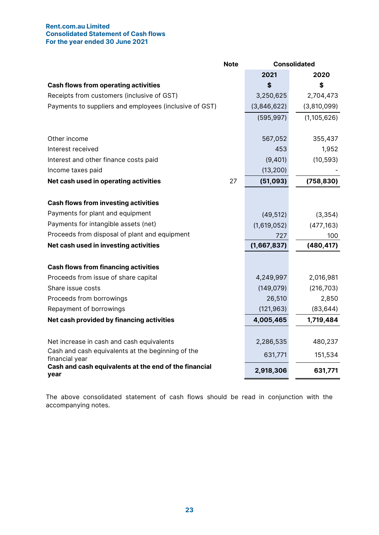## Rent.com.au Limited Consolidated Statement of Cash flows For the year ended 30 June 2021

| <b>Note</b>                                                         |    |             | <b>Consolidated</b> |
|---------------------------------------------------------------------|----|-------------|---------------------|
|                                                                     |    | 2021        | 2020                |
| <b>Cash flows from operating activities</b>                         |    | \$          | S                   |
| Receipts from customers (inclusive of GST)                          |    | 3,250,625   | 2,704,473           |
| Payments to suppliers and employees (inclusive of GST)              |    | (3,846,622) | (3,810,099)         |
|                                                                     |    | (595, 997)  | (1, 105, 626)       |
| Other income                                                        |    | 567,052     | 355,437             |
| Interest received                                                   |    | 453         | 1,952               |
| Interest and other finance costs paid                               |    | (9,401)     | (10, 593)           |
| Income taxes paid                                                   |    | (13, 200)   |                     |
| Net cash used in operating activities                               | 27 | (51,093)    | (758, 830)          |
|                                                                     |    |             |                     |
| <b>Cash flows from investing activities</b>                         |    |             |                     |
| Payments for plant and equipment                                    |    | (49, 512)   | (3, 354)            |
| Payments for intangible assets (net)                                |    | (1,619,052) | (477, 163)          |
| Proceeds from disposal of plant and equipment                       |    | 727         | 100                 |
| Net cash used in investing activities                               |    | (1,667,837) | (480, 417)          |
| <b>Cash flows from financing activities</b>                         |    |             |                     |
| Proceeds from issue of share capital                                |    | 4,249,997   | 2,016,981           |
| Share issue costs                                                   |    | (149, 079)  | (216, 703)          |
| Proceeds from borrowings                                            |    | 26,510      | 2,850               |
| Repayment of borrowings                                             |    | (121, 963)  | (83, 644)           |
| Net cash provided by financing activities                           |    | 4,005,465   | 1,719,484           |
|                                                                     |    |             |                     |
| Net increase in cash and cash equivalents                           |    | 2,286,535   | 480,237             |
| Cash and cash equivalents at the beginning of the<br>financial year |    | 631,771     | 151,534             |
| Cash and cash equivalents at the end of the financial<br>year       |    | 2,918,306   | 631,771             |

The above consolidated statement of cash flows should be read in conjunction with the accompanying notes.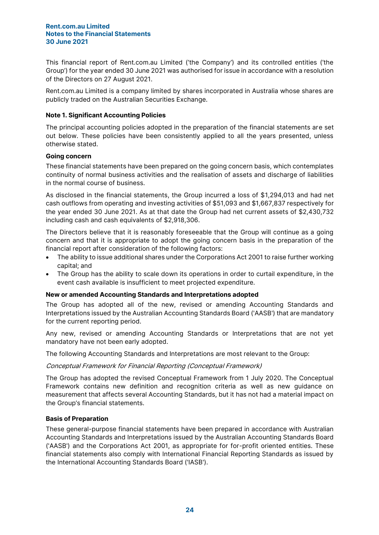This financial report of Rent.com.au Limited ('the Company') and its controlled entities ('the Group') for the year ended 30 June 2021 was authorised for issue in accordance with a resolution of the Directors on 27 August 2021.

Rent.com.au Limited is a company limited by shares incorporated in Australia whose shares are publicly traded on the Australian Securities Exchange.

## Note 1. Significant Accounting Policies

The principal accounting policies adopted in the preparation of the financial statements are set out below. These policies have been consistently applied to all the years presented, unless otherwise stated.

## Going concern

These financial statements have been prepared on the going concern basis, which contemplates continuity of normal business activities and the realisation of assets and discharge of liabilities in the normal course of business.

As disclosed in the financial statements, the Group incurred a loss of \$1,294,013 and had net cash outflows from operating and investing activities of \$51,093 and \$1,667,837 respectively for the year ended 30 June 2021. As at that date the Group had net current assets of \$2,430,732 including cash and cash equivalents of \$2,918,306.

The Directors believe that it is reasonably foreseeable that the Group will continue as a going concern and that it is appropriate to adopt the going concern basis in the preparation of the financial report after consideration of the following factors:

- The ability to issue additional shares under the Corporations Act 2001 to raise further working capital; and
- The Group has the ability to scale down its operations in order to curtail expenditure, in the event cash available is insufficient to meet projected expenditure.

## New or amended Accounting Standards and Interpretations adopted

The Group has adopted all of the new, revised or amending Accounting Standards and Interpretations issued by the Australian Accounting Standards Board ('AASB') that are mandatory for the current reporting period.

Any new, revised or amending Accounting Standards or Interpretations that are not yet mandatory have not been early adopted.

The following Accounting Standards and Interpretations are most relevant to the Group:

# Conceptual Framework for Financial Reporting (Conceptual Framework)

The Group has adopted the revised Conceptual Framework from 1 July 2020. The Conceptual Framework contains new definition and recognition criteria as well as new guidance on measurement that affects several Accounting Standards, but it has not had a material impact on the Group's financial statements.

## Basis of Preparation

These general-purpose financial statements have been prepared in accordance with Australian Accounting Standards and Interpretations issued by the Australian Accounting Standards Board ('AASB') and the Corporations Act 2001, as appropriate for for-profit oriented entities. These financial statements also comply with International Financial Reporting Standards as issued by the International Accounting Standards Board ('IASB').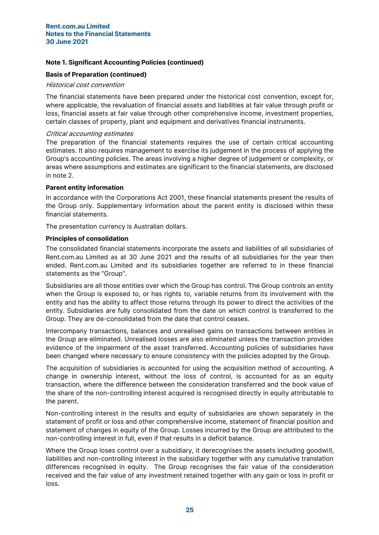## Note 1. Significant Accounting Policies (continued)

## Basis of Preparation (continued)

## Historical cost convention

The financial statements have been prepared under the historical cost convention, except for, where applicable, the revaluation of financial assets and liabilities at fair value through profit or loss, financial assets at fair value through other comprehensive income, investment properties, certain classes of property, plant and equipment and derivatives financial instruments.

## Critical accounting estimates

The preparation of the financial statements requires the use of certain critical accounting estimates. It also requires management to exercise its judgement in the process of applying the Group's accounting policies. The areas involving a higher degree of judgement or complexity, or areas where assumptions and estimates are significant to the financial statements, are disclosed in note 2.

## Parent entity information

In accordance with the Corporations Act 2001, these financial statements present the results of the Group only. Supplementary information about the parent entity is disclosed within these financial statements.

The presentation currency is Australian dollars.

## Principles of consolidation

The consolidated financial statements incorporate the assets and liabilities of all subsidiaries of Rent.com.au Limited as at 30 June 2021 and the results of all subsidiaries for the year then ended. Rent.com.au Limited and its subsidiaries together are referred to in these financial statements as the "Group".

Subsidiaries are all those entities over which the Group has control. The Group controls an entity when the Group is exposed to, or has rights to, variable returns from its involvement with the entity and has the ability to affect those returns through its power to direct the activities of the entity. Subsidiaries are fully consolidated from the date on which control is transferred to the Group. They are de-consolidated from the date that control ceases.

Intercompany transactions, balances and unrealised gains on transactions between entities in the Group are eliminated. Unrealised losses are also eliminated unless the transaction provides evidence of the impairment of the asset transferred. Accounting policies of subsidiaries have been changed where necessary to ensure consistency with the policies adopted by the Group.

The acquisition of subsidiaries is accounted for using the acquisition method of accounting. A change in ownership interest, without the loss of control, is accounted for as an equity transaction, where the difference between the consideration transferred and the book value of the share of the non-controlling interest acquired is recognised directly in equity attributable to the parent.

Non-controlling interest in the results and equity of subsidiaries are shown separately in the statement of profit or loss and other comprehensive income, statement of financial position and statement of changes in equity of the Group. Losses incurred by the Group are attributed to the non-controlling interest in full, even if that results in a deficit balance.

Where the Group loses control over a subsidiary, it derecognises the assets including goodwill, liabilities and non-controlling interest in the subsidiary together with any cumulative translation differences recognised in equity. The Group recognises the fair value of the consideration received and the fair value of any investment retained together with any gain or loss in profit or loss.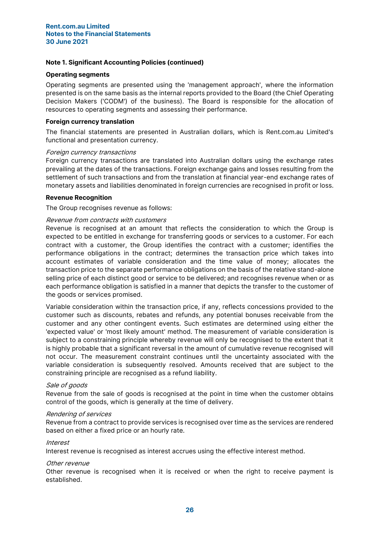#### Operating segments

Operating segments are presented using the 'management approach', where the information presented is on the same basis as the internal reports provided to the Board (the Chief Operating Decision Makers ('CODM') of the business). The Board is responsible for the allocation of resources to operating segments and assessing their performance.

## Foreign currency translation

The financial statements are presented in Australian dollars, which is Rent.com.au Limited's functional and presentation currency.

#### Foreign currency transactions

Foreign currency transactions are translated into Australian dollars using the exchange rates prevailing at the dates of the transactions. Foreign exchange gains and losses resulting from the settlement of such transactions and from the translation at financial year-end exchange rates of monetary assets and liabilities denominated in foreign currencies are recognised in profit or loss.

## Revenue Recognition

The Group recognises revenue as follows:

## Revenue from contracts with customers

Revenue is recognised at an amount that reflects the consideration to which the Group is expected to be entitled in exchange for transferring goods or services to a customer. For each contract with a customer, the Group identifies the contract with a customer; identifies the performance obligations in the contract; determines the transaction price which takes into account estimates of variable consideration and the time value of money; allocates the transaction price to the separate performance obligations on the basis of the relative stand-alone selling price of each distinct good or service to be delivered; and recognises revenue when or as each performance obligation is satisfied in a manner that depicts the transfer to the customer of the goods or services promised.

Variable consideration within the transaction price, if any, reflects concessions provided to the customer such as discounts, rebates and refunds, any potential bonuses receivable from the customer and any other contingent events. Such estimates are determined using either the 'expected value' or 'most likely amount' method. The measurement of variable consideration is subject to a constraining principle whereby revenue will only be recognised to the extent that it is highly probable that a significant reversal in the amount of cumulative revenue recognised will not occur. The measurement constraint continues until the uncertainty associated with the variable consideration is subsequently resolved. Amounts received that are subject to the constraining principle are recognised as a refund liability.

## Sale of goods

Revenue from the sale of goods is recognised at the point in time when the customer obtains control of the goods, which is generally at the time of delivery.

#### Rendering of services

Revenue from a contract to provide services is recognised over time as the services are rendered based on either a fixed price or an hourly rate.

## Interest

Interest revenue is recognised as interest accrues using the effective interest method.

#### Other revenue

Other revenue is recognised when it is received or when the right to receive payment is established.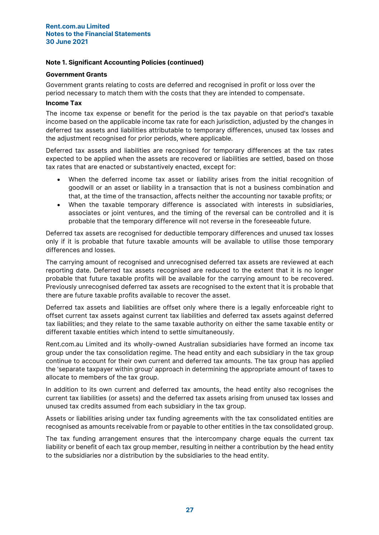## Note 1. Significant Accounting Policies (continued)

## Government Grants

Government grants relating to costs are deferred and recognised in profit or loss over the period necessary to match them with the costs that they are intended to compensate.

## Income Tax

The income tax expense or benefit for the period is the tax payable on that period's taxable income based on the applicable income tax rate for each jurisdiction, adjusted by the changes in deferred tax assets and liabilities attributable to temporary differences, unused tax losses and the adjustment recognised for prior periods, where applicable.

Deferred tax assets and liabilities are recognised for temporary differences at the tax rates expected to be applied when the assets are recovered or liabilities are settled, based on those tax rates that are enacted or substantively enacted, except for:

- When the deferred income tax asset or liability arises from the initial recognition of goodwill or an asset or liability in a transaction that is not a business combination and that, at the time of the transaction, affects neither the accounting nor taxable profits; or
- When the taxable temporary difference is associated with interests in subsidiaries, associates or joint ventures, and the timing of the reversal can be controlled and it is probable that the temporary difference will not reverse in the foreseeable future.

Deferred tax assets are recognised for deductible temporary differences and unused tax losses only if it is probable that future taxable amounts will be available to utilise those temporary differences and losses.

The carrying amount of recognised and unrecognised deferred tax assets are reviewed at each reporting date. Deferred tax assets recognised are reduced to the extent that it is no longer probable that future taxable profits will be available for the carrying amount to be recovered. Previously unrecognised deferred tax assets are recognised to the extent that it is probable that there are future taxable profits available to recover the asset.

Deferred tax assets and liabilities are offset only where there is a legally enforceable right to offset current tax assets against current tax liabilities and deferred tax assets against deferred tax liabilities; and they relate to the same taxable authority on either the same taxable entity or different taxable entities which intend to settle simultaneously.

Rent.com.au Limited and its wholly-owned Australian subsidiaries have formed an income tax group under the tax consolidation regime. The head entity and each subsidiary in the tax group continue to account for their own current and deferred tax amounts. The tax group has applied the 'separate taxpayer within group' approach in determining the appropriate amount of taxes to allocate to members of the tax group.

In addition to its own current and deferred tax amounts, the head entity also recognises the current tax liabilities (or assets) and the deferred tax assets arising from unused tax losses and unused tax credits assumed from each subsidiary in the tax group.

Assets or liabilities arising under tax funding agreements with the tax consolidated entities are recognised as amounts receivable from or payable to other entities in the tax consolidated group.

The tax funding arrangement ensures that the intercompany charge equals the current tax liability or benefit of each tax group member, resulting in neither a contribution by the head entity to the subsidiaries nor a distribution by the subsidiaries to the head entity.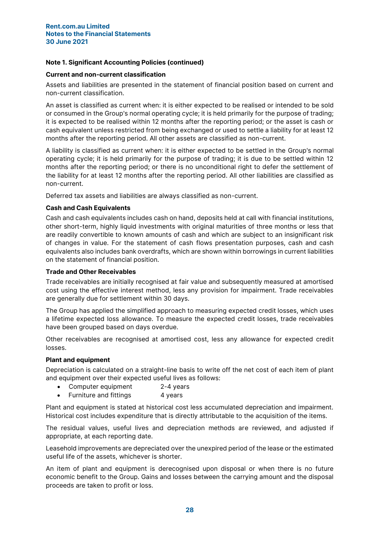## Current and non-current classification

Assets and liabilities are presented in the statement of financial position based on current and non-current classification.

An asset is classified as current when: it is either expected to be realised or intended to be sold or consumed in the Group's normal operating cycle; it is held primarily for the purpose of trading; it is expected to be realised within 12 months after the reporting period; or the asset is cash or cash equivalent unless restricted from being exchanged or used to settle a liability for at least 12 months after the reporting period. All other assets are classified as non-current.

A liability is classified as current when: it is either expected to be settled in the Group's normal operating cycle; it is held primarily for the purpose of trading; it is due to be settled within 12 months after the reporting period; or there is no unconditional right to defer the settlement of the liability for at least 12 months after the reporting period. All other liabilities are classified as non-current.

Deferred tax assets and liabilities are always classified as non-current.

## Cash and Cash Equivalents

Cash and cash equivalents includes cash on hand, deposits held at call with financial institutions, other short-term, highly liquid investments with original maturities of three months or less that are readily convertible to known amounts of cash and which are subject to an insignificant risk of changes in value. For the statement of cash flows presentation purposes, cash and cash equivalents also includes bank overdrafts, which are shown within borrowings in current liabilities on the statement of financial position.

## Trade and Other Receivables

Trade receivables are initially recognised at fair value and subsequently measured at amortised cost using the effective interest method, less any provision for impairment. Trade receivables are generally due for settlement within 30 days.

The Group has applied the simplified approach to measuring expected credit losses, which uses a lifetime expected loss allowance. To measure the expected credit losses, trade receivables have been grouped based on days overdue.

Other receivables are recognised at amortised cost, less any allowance for expected credit losses.

## Plant and equipment

Depreciation is calculated on a straight-line basis to write off the net cost of each item of plant and equipment over their expected useful lives as follows:

- Computer equipment 2-4 years
- Furniture and fittings 4 years

Plant and equipment is stated at historical cost less accumulated depreciation and impairment. Historical cost includes expenditure that is directly attributable to the acquisition of the items.

The residual values, useful lives and depreciation methods are reviewed, and adjusted if appropriate, at each reporting date.

Leasehold improvements are depreciated over the unexpired period of the lease or the estimated useful life of the assets, whichever is shorter.

An item of plant and equipment is derecognised upon disposal or when there is no future economic benefit to the Group. Gains and losses between the carrying amount and the disposal proceeds are taken to profit or loss.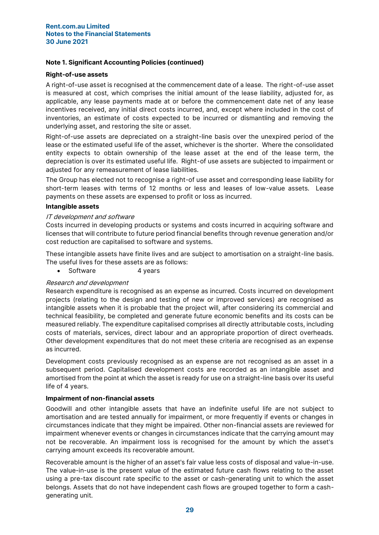## Note 1. Significant Accounting Policies (continued)

## Right-of-use assets

A right-of-use asset is recognised at the commencement date of a lease. The right-of-use asset is measured at cost, which comprises the initial amount of the lease liability, adjusted for, as applicable, any lease payments made at or before the commencement date net of any lease incentives received, any initial direct costs incurred, and, except where included in the cost of inventories, an estimate of costs expected to be incurred or dismantling and removing the underlying asset, and restoring the site or asset.

Right-of-use assets are depreciated on a straight-line basis over the unexpired period of the lease or the estimated useful life of the asset, whichever is the shorter. Where the consolidated entity expects to obtain ownership of the lease asset at the end of the lease term, the depreciation is over its estimated useful life. Right-of use assets are subjected to impairment or adjusted for any remeasurement of lease liabilities.

The Group has elected not to recognise a right-of use asset and corresponding lease liability for short-term leases with terms of 12 months or less and leases of low-value assets. Lease payments on these assets are expensed to profit or loss as incurred.

## Intangible assets

## IT development and software

Costs incurred in developing products or systems and costs incurred in acquiring software and licenses that will contribute to future period financial benefits through revenue generation and/or cost reduction are capitalised to software and systems.

These intangible assets have finite lives and are subject to amortisation on a straight-line basis. The useful lives for these assets are as follows:

• Software 4 years

## Research and development

Research expenditure is recognised as an expense as incurred. Costs incurred on development projects (relating to the design and testing of new or improved services) are recognised as intangible assets when it is probable that the project will, after considering its commercial and technical feasibility, be completed and generate future economic benefits and its costs can be measured reliably. The expenditure capitalised comprises all directly attributable costs, including costs of materials, services, direct labour and an appropriate proportion of direct overheads. Other development expenditures that do not meet these criteria are recognised as an expense as incurred.

Development costs previously recognised as an expense are not recognised as an asset in a subsequent period. Capitalised development costs are recorded as an intangible asset and amortised from the point at which the asset is ready for use on a straight-line basis over its useful life of 4 years.

## Impairment of non-financial assets

Goodwill and other intangible assets that have an indefinite useful life are not subject to amortisation and are tested annually for impairment, or more frequently if events or changes in circumstances indicate that they might be impaired. Other non-financial assets are reviewed for impairment whenever events or changes in circumstances indicate that the carrying amount may not be recoverable. An impairment loss is recognised for the amount by which the asset's carrying amount exceeds its recoverable amount.

Recoverable amount is the higher of an asset's fair value less costs of disposal and value-in-use. The value-in-use is the present value of the estimated future cash flows relating to the asset using a pre-tax discount rate specific to the asset or cash-generating unit to which the asset belongs. Assets that do not have independent cash flows are grouped together to form a cashgenerating unit.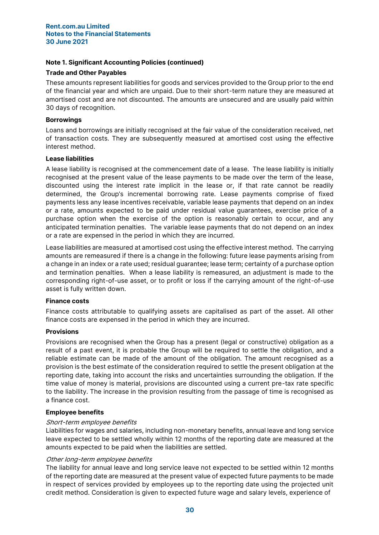## Note 1. Significant Accounting Policies (continued)

## Trade and Other Payables

These amounts represent liabilities for goods and services provided to the Group prior to the end of the financial year and which are unpaid. Due to their short-term nature they are measured at amortised cost and are not discounted. The amounts are unsecured and are usually paid within 30 days of recognition.

## Borrowings

Loans and borrowings are initially recognised at the fair value of the consideration received, net of transaction costs. They are subsequently measured at amortised cost using the effective interest method.

## Lease liabilities

A lease liability is recognised at the commencement date of a lease. The lease liability is initially recognised at the present value of the lease payments to be made over the term of the lease, discounted using the interest rate implicit in the lease or, if that rate cannot be readily determined, the Group's incremental borrowing rate. Lease payments comprise of fixed payments less any lease incentives receivable, variable lease payments that depend on an index or a rate, amounts expected to be paid under residual value guarantees, exercise price of a purchase option when the exercise of the option is reasonably certain to occur, and any anticipated termination penalties. The variable lease payments that do not depend on an index or a rate are expensed in the period in which they are incurred.

Lease liabilities are measured at amortised cost using the effective interest method. The carrying amounts are remeasured if there is a change in the following: future lease payments arising from a change in an index or a rate used; residual guarantee; lease term; certainty of a purchase option and termination penalties. When a lease liability is remeasured, an adjustment is made to the corresponding right-of-use asset, or to profit or loss if the carrying amount of the right-of-use asset is fully written down.

# Finance costs

Finance costs attributable to qualifying assets are capitalised as part of the asset. All other finance costs are expensed in the period in which they are incurred.

## Provisions

Provisions are recognised when the Group has a present (legal or constructive) obligation as a result of a past event, it is probable the Group will be required to settle the obligation, and a reliable estimate can be made of the amount of the obligation. The amount recognised as a provision is the best estimate of the consideration required to settle the present obligation at the reporting date, taking into account the risks and uncertainties surrounding the obligation. If the time value of money is material, provisions are discounted using a current pre-tax rate specific to the liability. The increase in the provision resulting from the passage of time is recognised as a finance cost.

## Employee benefits

## Short-term employee benefits

Liabilities for wages and salaries, including non-monetary benefits, annual leave and long service leave expected to be settled wholly within 12 months of the reporting date are measured at the amounts expected to be paid when the liabilities are settled.

## Other long-term employee benefits

The liability for annual leave and long service leave not expected to be settled within 12 months of the reporting date are measured at the present value of expected future payments to be made in respect of services provided by employees up to the reporting date using the projected unit credit method. Consideration is given to expected future wage and salary levels, experience of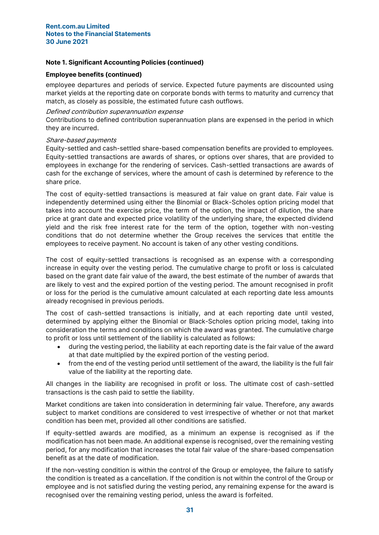## Note 1. Significant Accounting Policies (continued)

## Employee benefits (continued)

employee departures and periods of service. Expected future payments are discounted using market yields at the reporting date on corporate bonds with terms to maturity and currency that match, as closely as possible, the estimated future cash outflows.

## Defined contribution superannuation expense

Contributions to defined contribution superannuation plans are expensed in the period in which they are incurred.

## Share-based payments

Equity-settled and cash-settled share-based compensation benefits are provided to employees. Equity-settled transactions are awards of shares, or options over shares, that are provided to employees in exchange for the rendering of services. Cash-settled transactions are awards of cash for the exchange of services, where the amount of cash is determined by reference to the share price.

The cost of equity-settled transactions is measured at fair value on grant date. Fair value is independently determined using either the Binomial or Black-Scholes option pricing model that takes into account the exercise price, the term of the option, the impact of dilution, the share price at grant date and expected price volatility of the underlying share, the expected dividend yield and the risk free interest rate for the term of the option, together with non-vesting conditions that do not determine whether the Group receives the services that entitle the employees to receive payment. No account is taken of any other vesting conditions.

The cost of equity-settled transactions is recognised as an expense with a corresponding increase in equity over the vesting period. The cumulative charge to profit or loss is calculated based on the grant date fair value of the award, the best estimate of the number of awards that are likely to vest and the expired portion of the vesting period. The amount recognised in profit or loss for the period is the cumulative amount calculated at each reporting date less amounts already recognised in previous periods.

The cost of cash-settled transactions is initially, and at each reporting date until vested, determined by applying either the Binomial or Black-Scholes option pricing model, taking into consideration the terms and conditions on which the award was granted. The cumulative charge to profit or loss until settlement of the liability is calculated as follows:

- during the vesting period, the liability at each reporting date is the fair value of the award at that date multiplied by the expired portion of the vesting period.
- from the end of the vesting period until settlement of the award, the liability is the full fair value of the liability at the reporting date.

All changes in the liability are recognised in profit or loss. The ultimate cost of cash-settled transactions is the cash paid to settle the liability.

Market conditions are taken into consideration in determining fair value. Therefore, any awards subject to market conditions are considered to vest irrespective of whether or not that market condition has been met, provided all other conditions are satisfied.

If equity-settled awards are modified, as a minimum an expense is recognised as if the modification has not been made. An additional expense is recognised, over the remaining vesting period, for any modification that increases the total fair value of the share-based compensation benefit as at the date of modification.

If the non-vesting condition is within the control of the Group or employee, the failure to satisfy the condition is treated as a cancellation. If the condition is not within the control of the Group or employee and is not satisfied during the vesting period, any remaining expense for the award is recognised over the remaining vesting period, unless the award is forfeited.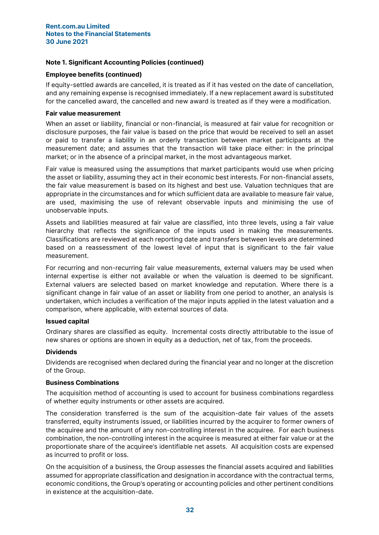## Employee benefits (continued)

If equity-settled awards are cancelled, it is treated as if it has vested on the date of cancellation, and any remaining expense is recognised immediately. If a new replacement award is substituted for the cancelled award, the cancelled and new award is treated as if they were a modification.

## Fair value measurement

When an asset or liability, financial or non-financial, is measured at fair value for recognition or disclosure purposes, the fair value is based on the price that would be received to sell an asset or paid to transfer a liability in an orderly transaction between market participants at the measurement date; and assumes that the transaction will take place either: in the principal market; or in the absence of a principal market, in the most advantageous market.

Fair value is measured using the assumptions that market participants would use when pricing the asset or liability, assuming they act in their economic best interests. For non-financial assets, the fair value measurement is based on its highest and best use. Valuation techniques that are appropriate in the circumstances and for which sufficient data are available to measure fair value, are used, maximising the use of relevant observable inputs and minimising the use of unobservable inputs.

Assets and liabilities measured at fair value are classified, into three levels, using a fair value hierarchy that reflects the significance of the inputs used in making the measurements. Classifications are reviewed at each reporting date and transfers between levels are determined based on a reassessment of the lowest level of input that is significant to the fair value measurement.

For recurring and non-recurring fair value measurements, external valuers may be used when internal expertise is either not available or when the valuation is deemed to be significant. External valuers are selected based on market knowledge and reputation. Where there is a significant change in fair value of an asset or liability from one period to another, an analysis is undertaken, which includes a verification of the major inputs applied in the latest valuation and a comparison, where applicable, with external sources of data.

## Issued capital

Ordinary shares are classified as equity. Incremental costs directly attributable to the issue of new shares or options are shown in equity as a deduction, net of tax, from the proceeds.

## Dividends

Dividends are recognised when declared during the financial year and no longer at the discretion of the Group.

## Business Combinations

The acquisition method of accounting is used to account for business combinations regardless of whether equity instruments or other assets are acquired.

The consideration transferred is the sum of the acquisition-date fair values of the assets transferred, equity instruments issued, or liabilities incurred by the acquirer to former owners of the acquiree and the amount of any non-controlling interest in the acquiree. For each business combination, the non-controlling interest in the acquiree is measured at either fair value or at the proportionate share of the acquiree's identifiable net assets. All acquisition costs are expensed as incurred to profit or loss.

On the acquisition of a business, the Group assesses the financial assets acquired and liabilities assumed for appropriate classification and designation in accordance with the contractual terms, economic conditions, the Group's operating or accounting policies and other pertinent conditions in existence at the acquisition-date.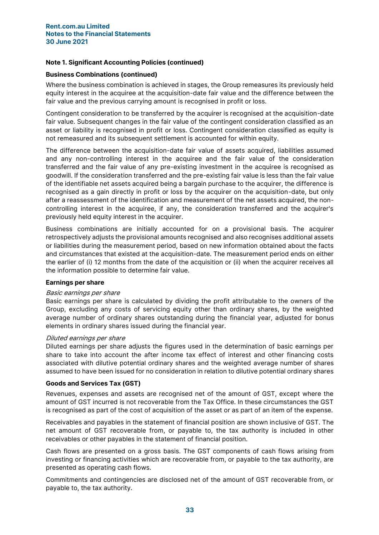## Business Combinations (continued)

Where the business combination is achieved in stages, the Group remeasures its previously held equity interest in the acquiree at the acquisition-date fair value and the difference between the fair value and the previous carrying amount is recognised in profit or loss.

Contingent consideration to be transferred by the acquirer is recognised at the acquisition-date fair value. Subsequent changes in the fair value of the contingent consideration classified as an asset or liability is recognised in profit or loss. Contingent consideration classified as equity is not remeasured and its subsequent settlement is accounted for within equity.

The difference between the acquisition-date fair value of assets acquired, liabilities assumed and any non-controlling interest in the acquiree and the fair value of the consideration transferred and the fair value of any pre-existing investment in the acquiree is recognised as goodwill. If the consideration transferred and the pre-existing fair value is less than the fair value of the identifiable net assets acquired being a bargain purchase to the acquirer, the difference is recognised as a gain directly in profit or loss by the acquirer on the acquisition-date, but only after a reassessment of the identification and measurement of the net assets acquired, the noncontrolling interest in the acquiree, if any, the consideration transferred and the acquirer's previously held equity interest in the acquirer.

Business combinations are initially accounted for on a provisional basis. The acquirer retrospectively adjusts the provisional amounts recognised and also recognises additional assets or liabilities during the measurement period, based on new information obtained about the facts and circumstances that existed at the acquisition-date. The measurement period ends on either the earlier of (i) 12 months from the date of the acquisition or (ii) when the acquirer receives all the information possible to determine fair value.

## Earnings per share

#### Basic earnings per share

Basic earnings per share is calculated by dividing the profit attributable to the owners of the Group, excluding any costs of servicing equity other than ordinary shares, by the weighted average number of ordinary shares outstanding during the financial year, adjusted for bonus elements in ordinary shares issued during the financial year.

#### Diluted earnings per share

Diluted earnings per share adjusts the figures used in the determination of basic earnings per share to take into account the after income tax effect of interest and other financing costs associated with dilutive potential ordinary shares and the weighted average number of shares assumed to have been issued for no consideration in relation to dilutive potential ordinary shares

## Goods and Services Tax (GST)

Revenues, expenses and assets are recognised net of the amount of GST, except where the amount of GST incurred is not recoverable from the Tax Office. In these circumstances the GST is recognised as part of the cost of acquisition of the asset or as part of an item of the expense.

Receivables and payables in the statement of financial position are shown inclusive of GST. The net amount of GST recoverable from, or payable to, the tax authority is included in other receivables or other payables in the statement of financial position.

Cash flows are presented on a gross basis. The GST components of cash flows arising from investing or financing activities which are recoverable from, or payable to the tax authority, are presented as operating cash flows.

Commitments and contingencies are disclosed net of the amount of GST recoverable from, or payable to, the tax authority.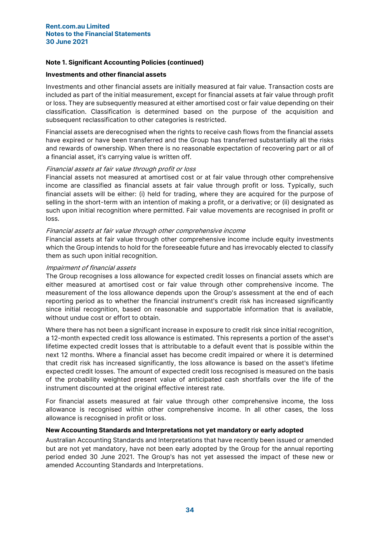## Investments and other financial assets

Investments and other financial assets are initially measured at fair value. Transaction costs are included as part of the initial measurement, except for financial assets at fair value through profit or loss. They are subsequently measured at either amortised cost or fair value depending on their classification. Classification is determined based on the purpose of the acquisition and subsequent reclassification to other categories is restricted.

Financial assets are derecognised when the rights to receive cash flows from the financial assets have expired or have been transferred and the Group has transferred substantially all the risks and rewards of ownership. When there is no reasonable expectation of recovering part or all of a financial asset, it's carrying value is written off.

## Financial assets at fair value through profit or loss

Financial assets not measured at amortised cost or at fair value through other comprehensive income are classified as financial assets at fair value through profit or loss. Typically, such financial assets will be either: (i) held for trading, where they are acquired for the purpose of selling in the short-term with an intention of making a profit, or a derivative; or (ii) designated as such upon initial recognition where permitted. Fair value movements are recognised in profit or loss.

## Financial assets at fair value through other comprehensive income

Financial assets at fair value through other comprehensive income include equity investments which the Group intends to hold for the foreseeable future and has irrevocably elected to classify them as such upon initial recognition.

## Impairment of financial assets

The Group recognises a loss allowance for expected credit losses on financial assets which are either measured at amortised cost or fair value through other comprehensive income. The measurement of the loss allowance depends upon the Group's assessment at the end of each reporting period as to whether the financial instrument's credit risk has increased significantly since initial recognition, based on reasonable and supportable information that is available, without undue cost or effort to obtain.

Where there has not been a significant increase in exposure to credit risk since initial recognition, a 12-month expected credit loss allowance is estimated. This represents a portion of the asset's lifetime expected credit losses that is attributable to a default event that is possible within the next 12 months. Where a financial asset has become credit impaired or where it is determined that credit risk has increased significantly, the loss allowance is based on the asset's lifetime expected credit losses. The amount of expected credit loss recognised is measured on the basis of the probability weighted present value of anticipated cash shortfalls over the life of the instrument discounted at the original effective interest rate.

For financial assets measured at fair value through other comprehensive income, the loss allowance is recognised within other comprehensive income. In all other cases, the loss allowance is recognised in profit or loss.

## New Accounting Standards and Interpretations not yet mandatory or early adopted

Australian Accounting Standards and Interpretations that have recently been issued or amended but are not yet mandatory, have not been early adopted by the Group for the annual reporting period ended 30 June 2021. The Group's has not yet assessed the impact of these new or amended Accounting Standards and Interpretations.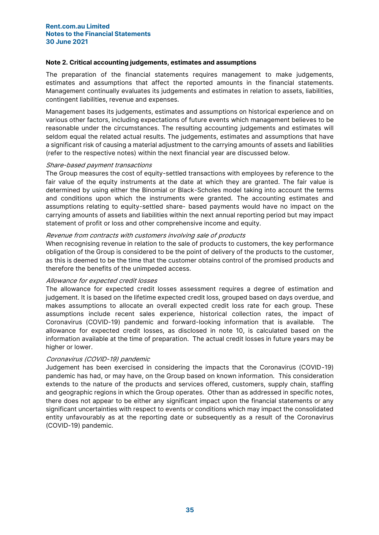## Note 2. Critical accounting judgements, estimates and assumptions

The preparation of the financial statements requires management to make judgements, estimates and assumptions that affect the reported amounts in the financial statements. Management continually evaluates its judgements and estimates in relation to assets, liabilities, contingent liabilities, revenue and expenses.

Management bases its judgements, estimates and assumptions on historical experience and on various other factors, including expectations of future events which management believes to be reasonable under the circumstances. The resulting accounting judgements and estimates will seldom equal the related actual results. The judgements, estimates and assumptions that have a significant risk of causing a material adjustment to the carrying amounts of assets and liabilities (refer to the respective notes) within the next financial year are discussed below.

## Share-based payment transactions

The Group measures the cost of equity-settled transactions with employees by reference to the fair value of the equity instruments at the date at which they are granted. The fair value is determined by using either the Binomial or Black-Scholes model taking into account the terms and conditions upon which the instruments were granted. The accounting estimates and assumptions relating to equity-settled share- based payments would have no impact on the carrying amounts of assets and liabilities within the next annual reporting period but may impact statement of profit or loss and other comprehensive income and equity.

## Revenue from contracts with customers involving sale of products

When recognising revenue in relation to the sale of products to customers, the key performance obligation of the Group is considered to be the point of delivery of the products to the customer, as this is deemed to be the time that the customer obtains control of the promised products and therefore the benefits of the unimpeded access.

#### Allowance for expected credit losses

The allowance for expected credit losses assessment requires a degree of estimation and judgement. It is based on the lifetime expected credit loss, grouped based on days overdue, and makes assumptions to allocate an overall expected credit loss rate for each group. These assumptions include recent sales experience, historical collection rates, the impact of Coronavirus (COVID-19) pandemic and forward-looking information that is available. The allowance for expected credit losses, as disclosed in note 10, is calculated based on the information available at the time of preparation. The actual credit losses in future years may be higher or lower.

## Coronavirus (COVID-19) pandemic

Judgement has been exercised in considering the impacts that the Coronavirus (COVID-19) pandemic has had, or may have, on the Group based on known information. This consideration extends to the nature of the products and services offered, customers, supply chain, staffing and geographic regions in which the Group operates. Other than as addressed in specific notes, there does not appear to be either any significant impact upon the financial statements or any significant uncertainties with respect to events or conditions which may impact the consolidated entity unfavourably as at the reporting date or subsequently as a result of the Coronavirus (COVID-19) pandemic.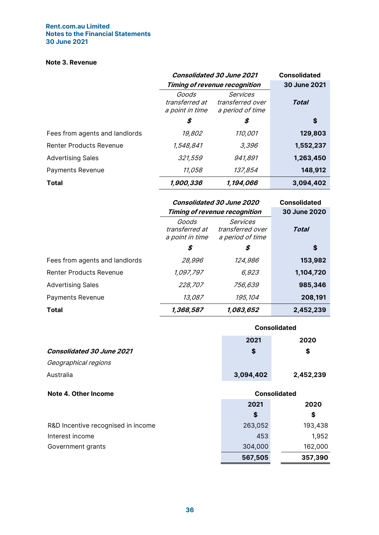## Note 3. Revenue

|                                | <b>Consolidated 30 June 2021</b>           | <b>Consolidated</b>                                     |              |
|--------------------------------|--------------------------------------------|---------------------------------------------------------|--------------|
|                                |                                            | <b>Timing of revenue recognition</b>                    | 30 June 2021 |
|                                | Goods<br>transferred at<br>a point in time | <b>Services</b><br>transferred over<br>a period of time | <b>Total</b> |
|                                | \$                                         | \$                                                      | \$           |
| Fees from agents and landlords | 19,802                                     | 110,001                                                 | 129,803      |
| <b>Renter Products Revenue</b> | 1,548,841                                  | 3,396                                                   | 1,552,237    |
| <b>Advertising Sales</b>       | 321,559                                    | 941,891                                                 | 1,263,450    |
| Payments Revenue               | 11,058                                     | 137,854                                                 | 148,912      |
| <b>Total</b>                   | 1,900,336                                  | 1,194,066                                               | 3,094,402    |

|                                | <b>Consolidated 30 June 2020</b>           | <b>Consolidated</b>                                     |              |
|--------------------------------|--------------------------------------------|---------------------------------------------------------|--------------|
|                                |                                            | <b>Timing of revenue recognition</b>                    | 30 June 2020 |
|                                | Goods<br>transferred at<br>a point in time | <b>Services</b><br>transferred over<br>a period of time | Total        |
|                                | \$                                         | S                                                       | S            |
| Fees from agents and landlords | 28,996                                     | 124,986                                                 | 153,982      |
| <b>Renter Products Revenue</b> | 1,097,797                                  | 6,923                                                   | 1,104,720    |
| <b>Advertising Sales</b>       | 228,707                                    | 756,639                                                 | 985,346      |
| Payments Revenue               | 13,087                                     | 195,104                                                 | 208,191      |
| Total                          | 1,368,587                                  | 1,083,652                                               | 2,452,239    |

|                                    | <b>Consolidated</b> |           |  |  |
|------------------------------------|---------------------|-----------|--|--|
|                                    | 2021                | 2020      |  |  |
| <b>Consolidated 30 June 2021</b>   | \$                  | \$        |  |  |
| Geographical regions               |                     |           |  |  |
| Australia                          | 3,094,402           | 2,452,239 |  |  |
|                                    |                     |           |  |  |
| Note 4. Other Income               | <b>Consolidated</b> |           |  |  |
|                                    | 2021                | 2020      |  |  |
|                                    | \$                  | \$        |  |  |
| R&D Incentive recognised in income | 263,052             | 193,438   |  |  |
| Interest income                    | 453                 | 1,952     |  |  |
| Government grants                  | 304,000             | 162,000   |  |  |
|                                    | 567,505             | 357,390   |  |  |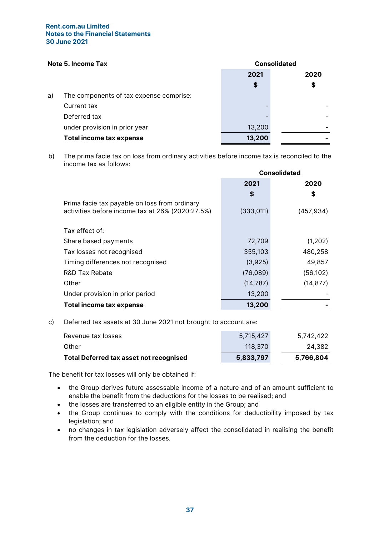# Note 5. Income Tax Consolidated

| ו ויטנפ ט. וווטטווופ ו מג |                                         | <b>UUIISUIIUALGU</b> |      |
|---------------------------|-----------------------------------------|----------------------|------|
|                           |                                         | 2021                 | 2020 |
|                           |                                         | \$                   | \$   |
| a)                        | The components of tax expense comprise: |                      |      |
|                           | Current tax                             |                      |      |
|                           | Deferred tax                            |                      |      |
|                           | under provision in prior year           | 13,200               |      |
|                           | <b>Total income tax expense</b>         | 13,200               |      |
|                           |                                         |                      |      |

b) The prima facie tax on loss from ordinary activities before income tax is reconciled to the income tax as follows:

|                                                  | <b>Consolidated</b> |            |
|--------------------------------------------------|---------------------|------------|
|                                                  | 2021                | 2020       |
|                                                  | S                   | \$         |
| Prima facie tax payable on loss from ordinary    |                     |            |
| activities before income tax at 26% (2020:27.5%) | (333,011)           | (457, 934) |
|                                                  |                     |            |
| Tax effect of:                                   |                     |            |
| Share based payments                             | 72,709              | (1, 202)   |
| Tax losses not recognised                        | 355,103             | 480,258    |
| Timing differences not recognised                | (3,925)             | 49,857     |
| R&D Tax Rebate                                   | (76,089)            | (56, 102)  |
| Other                                            | (14, 787)           | (14, 877)  |
| Under provision in prior period                  | 13,200              |            |
| Total income tax expense                         | 13,200              |            |
|                                                  |                     |            |

c) Deferred tax assets at 30 June 2021 not brought to account are:

| <b>Total Deferred tax asset not recognised</b> | 5,833,797 | 5,766,804 |
|------------------------------------------------|-----------|-----------|
| Other                                          | 118,370   | 24.382    |
| Revenue tax losses                             | 5.715.427 | 5,742,422 |

The benefit for tax losses will only be obtained if:

- the Group derives future assessable income of a nature and of an amount sufficient to enable the benefit from the deductions for the losses to be realised; and
- the losses are transferred to an eligible entity in the Group; and
- the Group continues to comply with the conditions for deductibility imposed by tax legislation; and
- no changes in tax legislation adversely affect the consolidated in realising the benefit from the deduction for the losses.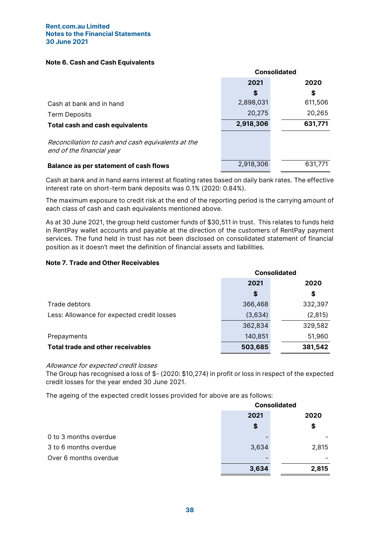## Note 6. Cash and Cash Equivalents

|                                                                                 | <b>Consolidated</b> |         |
|---------------------------------------------------------------------------------|---------------------|---------|
|                                                                                 | 2021                | 2020    |
|                                                                                 | \$                  | \$      |
| Cash at bank and in hand                                                        | 2,898,031           | 611,506 |
| <b>Term Deposits</b>                                                            | 20,275              | 20,265  |
| <b>Total cash and cash equivalents</b>                                          | 2,918,306           | 631,771 |
| Reconciliation to cash and cash equivalents at the<br>end of the financial year |                     |         |
| <b>Balance as per statement of cash flows</b>                                   | 2,918,306           | 631,771 |

Cash at bank and in hand earns interest at floating rates based on daily bank rates. The effective interest rate on short-term bank deposits was 0.1% (2020: 0.84%).

The maximum exposure to credit risk at the end of the reporting period is the carrying amount of each class of cash and cash equivalents mentioned above.

As at 30 June 2021, the group held customer funds of \$30,511 in trust. This relates to funds held in RentPay wallet accounts and payable at the direction of the customers of RentPay payment services. The fund held in trust has not been disclosed on consolidated statement of financial position as it doesn't meet the definition of financial assets and liabilities.

## Note 7. Trade and Other Receivables

|                                            | <b>Consolidated</b> |         |
|--------------------------------------------|---------------------|---------|
|                                            | 2021                | 2020    |
|                                            | \$                  | \$      |
| Trade debtors                              | 366,468             | 332,397 |
| Less: Allowance for expected credit losses | (3,634)             | (2,815) |
|                                            | 362,834             | 329,582 |
| Prepayments                                | 140,851             | 51,960  |
| <b>Total trade and other receivables</b>   | 503,685             | 381,542 |

## Allowance for expected credit losses

The Group has recognised a loss of \$- (2020: \$10,274) in profit or loss in respect of the expected credit losses for the year ended 30 June 2021.

The ageing of the expected credit losses provided for above are as follows:

|                       | <b>Consolidated</b> |       |
|-----------------------|---------------------|-------|
|                       | 2021<br>2020        |       |
|                       | \$                  | \$    |
| 0 to 3 months overdue |                     |       |
| 3 to 6 months overdue | 3,634               | 2,815 |
| Over 6 months overdue |                     |       |
|                       | 3,634               | 2,815 |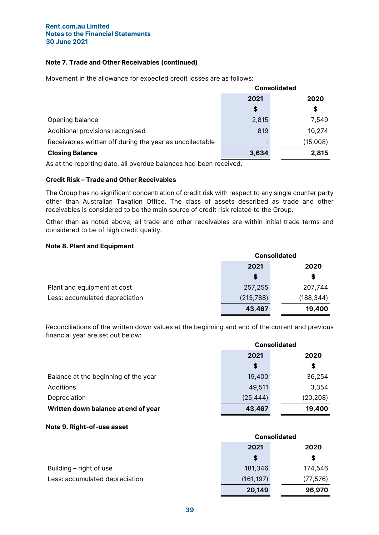## Note 7. Trade and Other Receivables (continued)

Movement in the allowance for expected credit losses are as follows:

|                                                          | <b>Consolidated</b> |          |
|----------------------------------------------------------|---------------------|----------|
|                                                          | 2021                | 2020     |
|                                                          | S                   | \$       |
| Opening balance                                          | 2,815               | 7,549    |
| Additional provisions recognised                         | 819                 | 10,274   |
| Receivables written off during the year as uncollectable |                     | (15,008) |
| <b>Closing Balance</b>                                   | 3,634               | 2,815    |

As at the reporting date, all overdue balances had been received.

## Credit Risk – Trade and Other Receivables

The Group has no significant concentration of credit risk with respect to any single counter party other than Australian Taxation Office. The class of assets described as trade and other receivables is considered to be the main source of credit risk related to the Group.

Other than as noted above, all trade and other receivables are within initial trade terms and considered to be of high credit quality.

## Note 8. Plant and Equipment

|                                | <b>Consolidated</b> |            |
|--------------------------------|---------------------|------------|
|                                | 2021                | 2020       |
|                                | S                   | \$         |
| Plant and equipment at cost    | 257,255             | 207,744    |
| Less: accumulated depreciation | (213, 788)          | (188, 344) |
|                                | 43,467              | 19,400     |

Reconciliations of the written down values at the beginning and end of the current and previous financial year are set out below:

|                                      | <b>Consolidated</b> |           |
|--------------------------------------|---------------------|-----------|
|                                      | 2021                | 2020      |
|                                      | \$                  | \$        |
| Balance at the beginning of the year | 19,400              | 36,254    |
| Additions                            | 49,511              | 3,354     |
| Depreciation                         | (25, 444)           | (20, 208) |
| Written down balance at end of year  | 43,467              | 19,400    |

#### Note 9. Right-of-use asset

|                                |            | <b>Consolidated</b> |  |
|--------------------------------|------------|---------------------|--|
|                                | 2021       | 2020                |  |
|                                | S          | \$                  |  |
| Building – right of use        | 181,346    | 174,546             |  |
| Less: accumulated depreciation | (161, 197) | (77, 576)           |  |
|                                | 20,149     | 96.970              |  |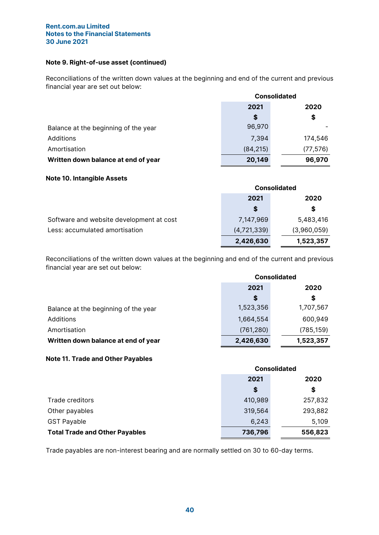## Note 9. Right-of-use asset (continued)

Reconciliations of the written down values at the beginning and end of the current and previous financial year are set out below:

|                                      | <b>Consolidated</b> |           |
|--------------------------------------|---------------------|-----------|
|                                      | 2021                | 2020      |
|                                      | S                   | \$        |
| Balance at the beginning of the year | 96,970              |           |
| Additions                            | 7,394               | 174,546   |
| Amortisation                         | (84, 215)           | (77, 576) |
| Written down balance at end of year  | 20,149              | 96,970    |

## Note 10. Intangible Assets

|                                          |             | <b>Consolidated</b> |  |
|------------------------------------------|-------------|---------------------|--|
|                                          | 2021        | 2020                |  |
|                                          | S           | \$                  |  |
| Software and website development at cost | 7,147,969   | 5,483,416           |  |
| Less: accumulated amortisation           | (4,721,339) | (3,960,059)         |  |
|                                          | 2,426,630   | 1,523,357           |  |

Reconciliations of the written down values at the beginning and end of the current and previous financial year are set out below:

|                                      | <b>Consolidated</b> |            |  |
|--------------------------------------|---------------------|------------|--|
|                                      | 2021<br>2020        |            |  |
|                                      | S                   | S          |  |
| Balance at the beginning of the year | 1,523,356           | 1,707,567  |  |
| Additions                            | 1,664,554           | 600,949    |  |
| Amortisation                         | (761, 280)          | (785, 159) |  |
| Written down balance at end of year  | 2,426,630           | 1,523,357  |  |

## Note 11. Trade and Other Payables

|                                       | <b>Consolidated</b> |         |  |
|---------------------------------------|---------------------|---------|--|
|                                       | 2021                | 2020    |  |
|                                       | \$                  | \$      |  |
| Trade creditors                       | 410,989             | 257,832 |  |
| Other payables                        | 319,564             | 293,882 |  |
| <b>GST Payable</b>                    | 6,243               | 5,109   |  |
| <b>Total Trade and Other Payables</b> | 736,796             | 556,823 |  |

Trade payables are non-interest bearing and are normally settled on 30 to 60-day terms.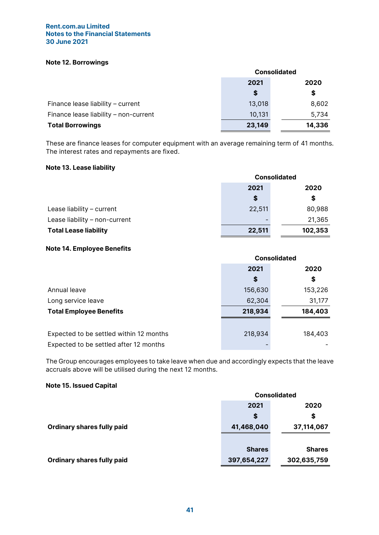## Note 12. Borrowings

|                                       | <b>Consolidated</b> |       |  |  |
|---------------------------------------|---------------------|-------|--|--|
|                                       | 2021                | 2020  |  |  |
|                                       | S                   | \$    |  |  |
| Finance lease liability - current     | 13,018              | 8,602 |  |  |
| Finance lease liability - non-current | 10,131              | 5,734 |  |  |
| <b>Total Borrowings</b>               | 23,149<br>14,336    |       |  |  |

These are finance leases for computer equipment with an average remaining term of 41 months. The interest rates and repayments are fixed.

## Note 13. Lease liability

|                               | <b>Consolidated</b> |         |
|-------------------------------|---------------------|---------|
|                               | 2021                | 2020    |
|                               | \$                  | \$      |
| Lease liability - current     | 22,511              | 80,988  |
| Lease liability - non-current |                     | 21,365  |
| <b>Total Lease liability</b>  | 22,511              | 102,353 |

## Note 14. Employee Benefits

|                                         | <b>Consolidated</b> |         |  |
|-----------------------------------------|---------------------|---------|--|
|                                         | 2021<br>2020        |         |  |
|                                         | \$                  | \$      |  |
| Annual leave                            | 156,630             | 153,226 |  |
| Long service leave                      | 62,304              | 31,177  |  |
| <b>Total Employee Benefits</b>          | 218,934             | 184,403 |  |
|                                         |                     |         |  |
| Expected to be settled within 12 months | 218,934             | 184,403 |  |
| Expected to be settled after 12 months  |                     |         |  |

The Group encourages employees to take leave when due and accordingly expects that the leave accruals above will be utilised during the next 12 months.

## Note 15. Issued Capital

|                                   | <b>Consolidated</b> |               |  |
|-----------------------------------|---------------------|---------------|--|
|                                   | 2021<br>2020        |               |  |
|                                   | S                   | \$            |  |
| <b>Ordinary shares fully paid</b> | 41,468,040          | 37,114,067    |  |
|                                   |                     |               |  |
|                                   | <b>Shares</b>       | <b>Shares</b> |  |
| <b>Ordinary shares fully paid</b> | 397,654,227         | 302,635,759   |  |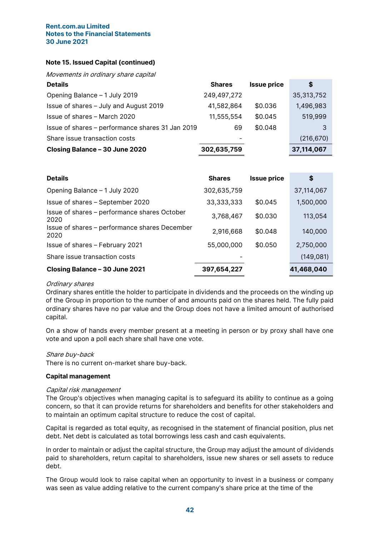## Note 15. Issued Capital (continued)

Movements in ordinary share capital

| <b>Details</b>                                   | <b>Shares</b> | <b>Issue price</b> | \$         |
|--------------------------------------------------|---------------|--------------------|------------|
| Opening Balance - 1 July 2019                    | 249,497,272   |                    | 35,313,752 |
| Issue of shares - July and August 2019           | 41,582,864    | \$0.036            | 1,496,983  |
| Issue of shares - March 2020                     | 11,555,554    | \$0.045            | 519,999    |
| Issue of shares - performance shares 31 Jan 2019 | 69            | \$0.048            | 3          |
| Share issue transaction costs                    | -             |                    | (216, 670) |
| Closing Balance - 30 June 2020                   | 302,635,759   |                    | 37,114,067 |

| <b>Details</b>                                        | <b>Shares</b> | <b>Issue price</b> | S          |
|-------------------------------------------------------|---------------|--------------------|------------|
| Opening Balance - 1 July 2020                         | 302,635,759   |                    | 37,114,067 |
| Issue of shares - September 2020                      | 33,333,333    | \$0.045            | 1,500,000  |
| Issue of shares - performance shares October<br>2020  | 3,768,467     | \$0.030            | 113,054    |
| Issue of shares - performance shares December<br>2020 | 2,916,668     | \$0.048            | 140,000    |
| Issue of shares - February 2021                       | 55,000,000    | \$0.050            | 2,750,000  |
| Share issue transaction costs                         |               |                    | (149, 081) |
| Closing Balance - 30 June 2021                        | 397,654,227   |                    | 41,468,040 |

#### Ordinary shares

Ordinary shares entitle the holder to participate in dividends and the proceeds on the winding up of the Group in proportion to the number of and amounts paid on the shares held. The fully paid ordinary shares have no par value and the Group does not have a limited amount of authorised capital.

On a show of hands every member present at a meeting in person or by proxy shall have one vote and upon a poll each share shall have one vote.

## Share buy-back

There is no current on-market share buy-back.

#### Capital management

## Capital risk management

The Group's objectives when managing capital is to safeguard its ability to continue as a going concern, so that it can provide returns for shareholders and benefits for other stakeholders and to maintain an optimum capital structure to reduce the cost of capital.

Capital is regarded as total equity, as recognised in the statement of financial position, plus net debt. Net debt is calculated as total borrowings less cash and cash equivalents.

In order to maintain or adjust the capital structure, the Group may adjust the amount of dividends paid to shareholders, return capital to shareholders, issue new shares or sell assets to reduce debt.

The Group would look to raise capital when an opportunity to invest in a business or company was seen as value adding relative to the current company's share price at the time of the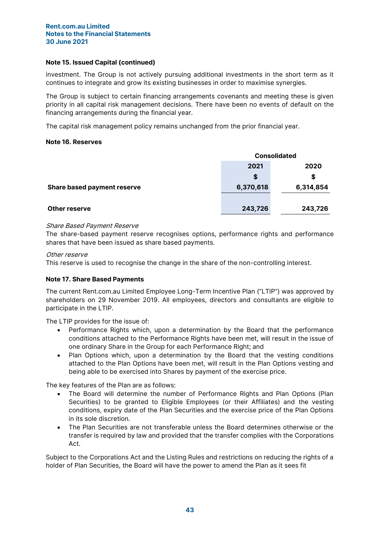## Note 15. Issued Capital (continued)

investment. The Group is not actively pursuing additional investments in the short term as it continues to integrate and grow its existing businesses in order to maximise synergies.

The Group is subject to certain financing arrangements covenants and meeting these is given priority in all capital risk management decisions. There have been no events of default on the financing arrangements during the financial year.

The capital risk management policy remains unchanged from the prior financial year.

## Note 16. Reserves

|                                    | <b>Consolidated</b> |           |  |
|------------------------------------|---------------------|-----------|--|
|                                    | 2021<br>2020        |           |  |
|                                    | \$                  | S         |  |
| <b>Share based payment reserve</b> | 6,370,618           | 6,314,854 |  |
|                                    |                     |           |  |
| <b>Other reserve</b>               | 243,726             | 243,726   |  |

## Share Based Payment Reserve

The share-based payment reserve recognises options, performance rights and performance shares that have been issued as share based payments.

## Other reserve

This reserve is used to recognise the change in the share of the non-controlling interest.

## Note 17. Share Based Payments

The current Rent.com.au Limited Employee Long-Term Incentive Plan ("LTIP") was approved by shareholders on 29 November 2019. All employees, directors and consultants are eligible to participate in the LTIP.

The LTIP provides for the issue of:

- Performance Rights which, upon a determination by the Board that the performance conditions attached to the Performance Rights have been met, will result in the issue of one ordinary Share in the Group for each Performance Right; and
- Plan Options which, upon a determination by the Board that the vesting conditions attached to the Plan Options have been met, will result in the Plan Options vesting and being able to be exercised into Shares by payment of the exercise price.

The key features of the Plan are as follows:

- The Board will determine the number of Performance Rights and Plan Options (Plan Securities) to be granted to Eligible Employees (or their Affiliates) and the vesting conditions, expiry date of the Plan Securities and the exercise price of the Plan Options in its sole discretion.
- The Plan Securities are not transferable unless the Board determines otherwise or the transfer is required by law and provided that the transfer complies with the Corporations Act.

Subject to the Corporations Act and the Listing Rules and restrictions on reducing the rights of a holder of Plan Securities, the Board will have the power to amend the Plan as it sees fit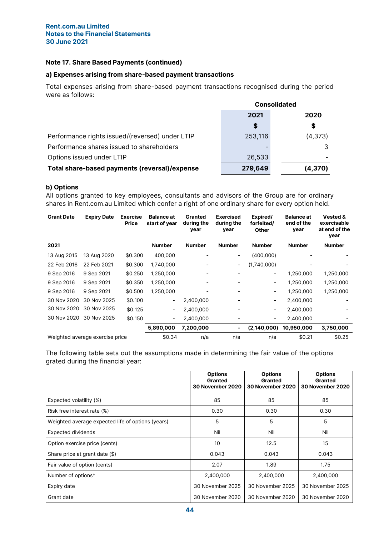## Note 17. Share Based Payments (continued)

## a) Expenses arising from share-based payment transactions

Total expenses arising from share-based payment transactions recognised during the period were as follows:

|                                                 | <b>Consolidated</b> |          |  |
|-------------------------------------------------|---------------------|----------|--|
|                                                 | 2021                | 2020     |  |
|                                                 | S                   | \$       |  |
| Performance rights issued/(reversed) under LTIP | 253,116             | (4,373)  |  |
| Performance shares issued to shareholders       |                     |          |  |
| Options issued under LTIP                       | 26,533              |          |  |
| Total share-based payments (reversal)/expense   | 279,649             | (4, 370) |  |

## b) Options

All options granted to key employees, consultants and advisors of the Group are for ordinary shares in Rent.com.au Limited which confer a right of one ordinary share for every option held.

| <b>Grant Date</b> | <b>Expiry Date</b>              | <b>Exercise</b><br><b>Price</b> | <b>Balance at</b><br>start of year | Granted<br>during the<br>year | <b>Exercised</b><br>during the<br>year | Expired/<br>forfeited/<br><b>Other</b> | <b>Balance at</b><br>end of the<br>year | <b>Vested &amp;</b><br>exercisable<br>at end of the<br>year |
|-------------------|---------------------------------|---------------------------------|------------------------------------|-------------------------------|----------------------------------------|----------------------------------------|-----------------------------------------|-------------------------------------------------------------|
| 2021              |                                 |                                 | <b>Number</b>                      | <b>Number</b>                 | <b>Number</b>                          | <b>Number</b>                          | <b>Number</b>                           | <b>Number</b>                                               |
| 13 Aug 2015       | 13 Aug 2020                     | \$0.300                         | 400,000                            |                               |                                        | (400,000)                              |                                         |                                                             |
| 22 Feb 2016       | 22 Feb 2021                     | \$0.300                         | 1,740,000                          |                               | -                                      | (1,740,000)                            |                                         |                                                             |
| 9 Sep 2016        | 9 Sep 2021                      | \$0.250                         | 1,250,000                          |                               |                                        | -                                      | 1,250,000                               | 1,250,000                                                   |
| 9 Sep 2016        | 9 Sep 2021                      | \$0.350                         | 1,250,000                          |                               |                                        |                                        | 1,250,000                               | 1,250,000                                                   |
| 9 Sep 2016        | 9 Sep 2021                      | \$0.500                         | 1,250,000                          |                               |                                        | -                                      | 1,250,000                               | 1,250,000                                                   |
| 30 Nov 2020       | 30 Nov 2025                     | \$0.100                         | $\overline{\phantom{a}}$           | 2,400,000                     |                                        | -                                      | 2,400,000                               |                                                             |
| 30 Nov 2020       | 30 Nov 2025                     | \$0.125                         | $\overline{\phantom{a}}$           | 2,400,000                     |                                        | -                                      | 2,400,000                               |                                                             |
| 30 Nov 2020       | 30 Nov 2025                     | \$0.150                         | $\overline{\phantom{a}}$           | 2,400,000                     |                                        | -                                      | 2,400,000                               |                                                             |
|                   |                                 |                                 | 5,890,000                          | 7,200,000                     | ۰                                      | (2, 140, 000)                          | 10,950,000                              | 3,750,000                                                   |
|                   | Weighted average exercise price |                                 | \$0.34                             | n/a                           | n/a                                    | n/a                                    | \$0.21                                  | \$0.25                                                      |

The following table sets out the assumptions made in determining the fair value of the options grated during the financial year:

|                                                   | <b>Options</b><br><b>Granted</b><br><b>30 November 2020</b> | <b>Options</b><br>Granted<br><b>30 November 2020</b> | <b>Options</b><br><b>Granted</b><br>30 November 2020 |
|---------------------------------------------------|-------------------------------------------------------------|------------------------------------------------------|------------------------------------------------------|
| Expected volatility (%)                           | 85                                                          | 85                                                   | 85                                                   |
| Risk free interest rate (%)                       | 0.30                                                        | 0.30                                                 | 0.30                                                 |
| Weighted average expected life of options (years) | 5                                                           | 5                                                    | 5                                                    |
| Expected dividends                                | Nil                                                         | Nil                                                  | Nil                                                  |
| Option exercise price (cents)                     | 10                                                          | 12.5                                                 | 15                                                   |
| Share price at grant date (\$)                    | 0.043                                                       | 0.043                                                | 0.043                                                |
| Fair value of option (cents)                      | 2.07                                                        | 1.89                                                 | 1.75                                                 |
| Number of options*                                | 2,400,000                                                   | 2,400,000                                            | 2,400,000                                            |
| Expiry date                                       | 30 November 2025                                            | 30 November 2025                                     | 30 November 2025                                     |
| Grant date                                        | 30 November 2020                                            | 30 November 2020                                     | 30 November 2020                                     |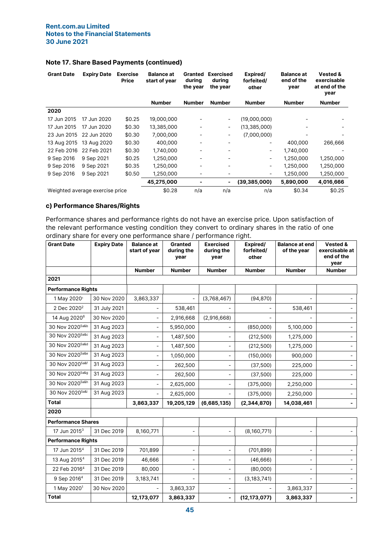| <b>Grant Date</b>               | <b>Expiry Date</b> | <b>Exercise</b><br><b>Price</b> | <b>Balance at</b><br>start of year | <b>Granted</b><br>during<br>the year | <b>Exercised</b><br>during<br>the year | Expired/<br>forfeited/<br>other | <b>Balance at</b><br>end of the<br>year | <b>Vested &amp;</b><br>exercisable<br>at end of the<br>year |
|---------------------------------|--------------------|---------------------------------|------------------------------------|--------------------------------------|----------------------------------------|---------------------------------|-----------------------------------------|-------------------------------------------------------------|
|                                 |                    |                                 | <b>Number</b>                      | <b>Number</b>                        | <b>Number</b>                          | <b>Number</b>                   | <b>Number</b>                           | <b>Number</b>                                               |
| 2020                            |                    |                                 |                                    |                                      |                                        |                                 |                                         |                                                             |
| 17 Jun 2015                     | 17 Jun 2020        | \$0.25                          | 19,000,000                         |                                      | $\overline{\phantom{a}}$               | (19,000,000)                    |                                         |                                                             |
| 17 Jun 2015                     | 17 Jun 2020        | \$0.30                          | 13,385,000                         |                                      | $\overline{\phantom{a}}$               | (13, 385, 000)                  |                                         |                                                             |
| 23 Jun 2015                     | 22 Jun 2020        | \$0.30                          | 7,000,000                          |                                      | $\overline{\phantom{a}}$               | (7,000,000)                     |                                         |                                                             |
| 13 Aug 2015                     | 13 Aug 2020        | \$0.30                          | 400,000                            |                                      | -                                      | $\overline{\phantom{a}}$        | 400,000                                 | 266,666                                                     |
| 22 Feb 2016                     | 22 Feb 2021        | \$0.30                          | 1.740.000                          |                                      | -                                      | $\overline{\phantom{a}}$        | 1,740,000                               |                                                             |
| 9 Sep 2016                      | 9 Sep 2021         | \$0.25                          | 1,250,000                          |                                      |                                        | $\overline{\phantom{a}}$        | 1,250,000                               | 1,250,000                                                   |
| 9 Sep 2016                      | 9 Sep 2021         | \$0.35                          | 1,250,000                          |                                      | -                                      | $\overline{\phantom{a}}$        | 1,250,000                               | 1,250,000                                                   |
| 9 Sep 2016                      | 9 Sep 2021         | \$0.50                          | 1,250,000                          | -                                    | $\overline{\phantom{a}}$               | $\overline{\phantom{a}}$        | 1,250,000                               | 1,250,000                                                   |
|                                 |                    |                                 | 45,275,000                         |                                      | ۰                                      | (39, 385, 000)                  | 5,890,000                               | 4,016,666                                                   |
| Weighted average exercise price |                    | \$0.28                          | n/a                                | n/a                                  | n/a                                    | \$0.34                          | \$0.25                                  |                                                             |

## Note 17. Share Based Payments (continued)

# c) Performance Shares/Rights

Performance shares and performance rights do not have an exercise price. Upon satisfaction of the relevant performance vesting condition they convert to ordinary shares in the ratio of one ordinary share for every one performance share / performance right.

| <b>Grant Date</b>               | <b>Expiry Date</b> | <b>Balance at</b><br>start of year | Granted<br>during the<br>year | <b>Exercised</b><br>during the<br>year | Expired/<br>forfeited/<br>other | <b>Balance at end</b><br>of the year | Vested &<br>exercisable at<br>end of the<br>year |
|---------------------------------|--------------------|------------------------------------|-------------------------------|----------------------------------------|---------------------------------|--------------------------------------|--------------------------------------------------|
|                                 |                    | <b>Number</b>                      | <b>Number</b>                 | <b>Number</b>                          | <b>Number</b>                   | <b>Number</b>                        | <b>Number</b>                                    |
| 2021                            |                    |                                    |                               |                                        |                                 |                                      |                                                  |
| <b>Performance Rights</b>       |                    |                                    |                               |                                        |                                 |                                      |                                                  |
| 1 May 2020 <sup>1</sup>         | 30 Nov 2020        | 3,863,337                          |                               | (3,768,467)                            | (94, 870)                       |                                      |                                                  |
| 2 Dec 2020 <sup>2</sup>         | 31 July 2021       |                                    | 538,461                       |                                        |                                 | 538,461                              |                                                  |
| 14 Aug 2020 <sup>6</sup>        | 30 Nov 2020        |                                    | 2,916,668                     | (2,916,668)                            |                                 |                                      |                                                  |
| 30 Nov 20205a&b                 | 31 Aug 2023        |                                    | 5,950,000                     |                                        | (850,000)                       | 5,100,000                            |                                                  |
| 30 Nov 2020 <sup>5a&amp;c</sup> | 31 Aug 2023        |                                    | 1,487,500                     | $\overline{\phantom{0}}$               | (212, 500)                      | 1,275,000                            |                                                  |
| 30 Nov 20205a&d                 | 31 Aug 2023        |                                    | 1,487,500                     | -                                      | (212, 500)                      | 1,275,000                            |                                                  |
| 30 Nov 20205a&e                 | 31 Aug 2023        |                                    | 1,050,000                     | $\overline{\phantom{0}}$               | (150,000)                       | 900,000                              |                                                  |
| 30 Nov 2020 <sup>5a&amp;f</sup> | 31 Aug 2023        |                                    | 262,500                       | $\overline{\phantom{0}}$               | (37, 500)                       | 225,000                              |                                                  |
| 30 Nov 20205a&g                 | 31 Aug 2023        |                                    | 262,500                       | $\overline{\phantom{0}}$               | (37, 500)                       | 225,000                              |                                                  |
| 30 Nov 20205a&h                 | 31 Aug 2023        |                                    | 2,625,000                     |                                        | (375,000)                       | 2,250,000                            |                                                  |
| 30 Nov 2020 <sup>5a&amp;i</sup> | 31 Aug 2023        |                                    | 2,625,000                     | $\overline{\phantom{0}}$               | (375,000)                       | 2,250,000                            |                                                  |
| <b>Total</b>                    |                    | 3,863,337                          | 19,205,129                    | (6,685,135)                            | (2, 344, 870)                   | 14,038,461                           |                                                  |
| 2020                            |                    |                                    |                               |                                        |                                 |                                      |                                                  |
| <b>Performance Shares</b>       |                    |                                    |                               |                                        |                                 |                                      |                                                  |
| 17 Jun 2015 <sup>3</sup>        | 31 Dec 2019        | 8,160,771                          |                               | $\overline{\phantom{a}}$               | (8,160,771)                     |                                      |                                                  |
| <b>Performance Rights</b>       |                    |                                    |                               |                                        |                                 |                                      |                                                  |
| 17 Jun 2015 <sup>4</sup>        | 31 Dec 2019        | 701,899                            |                               | $\overline{\phantom{0}}$               | (701, 899)                      |                                      |                                                  |
| 13 Aug 2015 <sup>4</sup>        | 31 Dec 2019        | 46,666                             |                               | $\overline{\phantom{0}}$               | (46, 666)                       |                                      |                                                  |
| 22 Feb 2016 <sup>4</sup>        | 31 Dec 2019        | 80,000                             |                               | $\overline{\phantom{0}}$               | (80,000)                        |                                      |                                                  |
| 9 Sep 2016 <sup>4</sup>         | 31 Dec 2019        | 3,183,741                          |                               | $\overline{\phantom{0}}$               | (3, 183, 741)                   |                                      |                                                  |
| 1 May 2020 <sup>1</sup>         | 30 Nov 2020        |                                    | 3,863,337                     | $\overline{\phantom{0}}$               |                                 | 3,863,337                            |                                                  |
| <b>Total</b>                    |                    | 12,173,077                         | 3,863,337                     | L,                                     | (12, 173, 077)                  | 3,863,337                            |                                                  |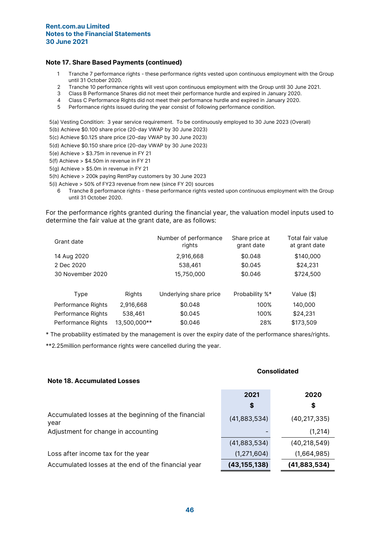## Note 17. Share Based Payments (continued)

- 1 Tranche 7 performance rights these performance rights vested upon continuous employment with the Group until 31 October 2020.
- 2 Tranche 10 performance rights will vest upon continuous employment with the Group until 30 June 2021.
- 3 Class B Performance Shares did not meet their performance hurdle and expired in January 2020.
- 4 Class C Performance Rights did not meet their performance hurdle and expired in January 2020.
- 5 Performance rights issued during the year consist of following performance condition.

5(a) Vesting Condition: 3 year service requirement. To be continuously employed to 30 June 2023 (Overall) 5(b) Achieve \$0.100 share price (20-day VWAP by 30 June 2023)

- 5(c) Achieve \$0.125 share price (20-day VWAP by 30 June 2023)
- 5(d) Achieve \$0.150 share price (20-day VWAP by 30 June 2023)
- 5(e) Achieve > \$3.75m in revenue in FY 21
- 5(f) Achieve > \$4.50m in revenue in FY 21
- 5(g) Achieve > \$5.0m in revenue in FY 21
- 5(h) Achieve > 200k paying RentPay customers by 30 June 2023
- 5(i) Achieve > 50% of FY23 revenue from new (since FY 20) sources
	- 6 Tranche 8 performance rights these performance rights vested upon continuous employment with the Group until 31 October 2020.

For the performance rights granted during the financial year, the valuation model inputs used to determine the fair value at the grant date, are as follows:

| Grant date         |              | Number of performance<br>rights | Share price at<br>grant date | Total fair value<br>at grant date |
|--------------------|--------------|---------------------------------|------------------------------|-----------------------------------|
| 14 Aug 2020        |              | 2,916,668                       | \$0.048                      | \$140,000                         |
| 2 Dec 2020         |              | 538,461                         | \$0.045                      | \$24,231                          |
| 30 November 2020   |              | 15,750,000                      | \$0.046                      | \$724,500                         |
|                    |              |                                 |                              |                                   |
| Type               | Rights       | Underlying share price          | Probability %*               | Value (\$)                        |
| Performance Rights | 2,916,668    | \$0.048                         | 100%                         | 140,000                           |
| Performance Rights | 538,461      | \$0.045                         | 100%                         | \$24,231                          |
| Performance Rights | 13,500,000** | \$0.046                         | 28%                          | \$173,509                         |

\* The probability estimated by the management is over the expiry date of the performance shares/rights.

\*\*2.25million performance rights were cancelled during the year.

| <b>Note 18. Accumulated Losses</b>                           | vvnjuuutu      |                |  |
|--------------------------------------------------------------|----------------|----------------|--|
|                                                              | 2021<br>\$     | 2020<br>\$     |  |
| Accumulated losses at the beginning of the financial<br>year | (41,883,534)   | (40, 217, 335) |  |
| Adjustment for change in accounting                          |                | (1, 214)       |  |
|                                                              | (41,883,534)   | (40, 218, 549) |  |
| Loss after income tax for the year                           | (1, 271, 604)  | (1,664,985)    |  |
| Accumulated losses at the end of the financial year          | (43, 155, 138) | (41,883,534)   |  |

# Consolidated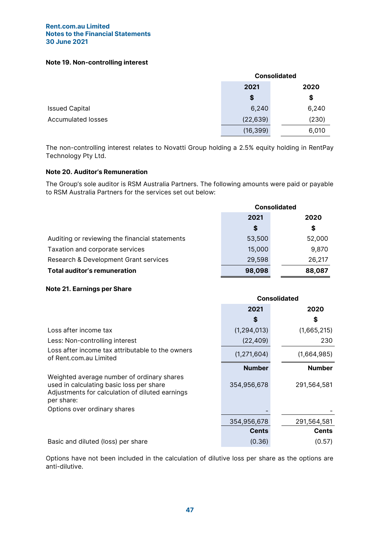## Note 19. Non-controlling interest

|                           |           | <b>Consolidated</b> |
|---------------------------|-----------|---------------------|
|                           | 2021      | 2020                |
|                           | \$        | \$                  |
| <b>Issued Capital</b>     | 6,240     | 6,240               |
| <b>Accumulated losses</b> | (22, 639) | (230)               |
|                           | (16, 399) | 6,010               |

The non-controlling interest relates to Novatti Group holding a 2.5% equity holding in RentPay Technology Pty Ltd.

## Note 20. Auditor's Remuneration

The Group's sole auditor is RSM Australia Partners. The following amounts were paid or payable to RSM Australia Partners for the services set out below:

|                                                | <b>Consolidated</b> |        |  |
|------------------------------------------------|---------------------|--------|--|
|                                                | 2021                | 2020   |  |
|                                                | \$                  | \$     |  |
| Auditing or reviewing the financial statements | 53,500              | 52,000 |  |
| Taxation and corporate services                | 15,000              | 9,870  |  |
| Research & Development Grant services          | 29,598              | 26,217 |  |
| <b>Total auditor's remuneration</b>            | 98,098              | 88,087 |  |

## Note 21. Earnings per Share

|                                                                                                                                                         | <b>Consolidated</b> |               |  |
|---------------------------------------------------------------------------------------------------------------------------------------------------------|---------------------|---------------|--|
|                                                                                                                                                         | 2021                | 2020          |  |
|                                                                                                                                                         | S                   | S             |  |
| Loss after income tax                                                                                                                                   | (1, 294, 013)       | (1,665,215)   |  |
| Less: Non-controlling interest                                                                                                                          | (22, 409)           | 230           |  |
| Loss after income tax attributable to the owners<br>of Rent.com.au Limited                                                                              | (1, 271, 604)       | (1,664,985)   |  |
|                                                                                                                                                         | <b>Number</b>       | <b>Number</b> |  |
| Weighted average number of ordinary shares<br>used in calculating basic loss per share<br>Adjustments for calculation of diluted earnings<br>per share: | 354,956,678         | 291,564,581   |  |
| Options over ordinary shares                                                                                                                            |                     |               |  |
|                                                                                                                                                         | 354,956,678         | 291,564,581   |  |
|                                                                                                                                                         | <b>Cents</b>        | <b>Cents</b>  |  |
| Basic and diluted (loss) per share                                                                                                                      | (0.36)              | (0.57)        |  |

Options have not been included in the calculation of dilutive loss per share as the options are anti-dilutive.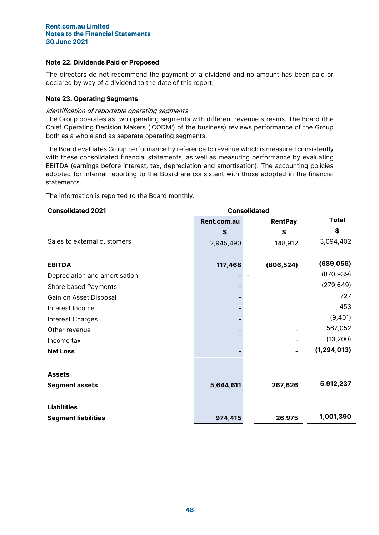## Note 22. Dividends Paid or Proposed

The directors do not recommend the payment of a dividend and no amount has been paid or declared by way of a dividend to the date of this report.

## Note 23. Operating Segments

## Identification of reportable operating segments

The Group operates as two operating segments with different revenue streams. The Board (the Chief Operating Decision Makers ('CODM') of the business) reviews performance of the Group both as a whole and as separate operating segments.

The Board evaluates Group performance by reference to revenue which is measured consistently with these consolidated financial statements, as well as measuring performance by evaluating EBITDA (earnings before interest, tax, depreciation and amortisation). The accounting policies adopted for internal reporting to the Board are consistent with those adopted in the financial statements.

The information is reported to the Board monthly.

# Consolidated 2021 Consolidated Rent.com.au RentPay Total  $\begin{array}{ccc} \texttt{\$} & \texttt{\$} & \texttt{\$} & \texttt{\$} \end{array}$ Sales to external customers <br>2,945,490 148,912 3,094,402 EBITDA 117,468 (806,524) (689,056) Depreciation and amortisation (870,939) Share based Payments (279,649) Gain on Asset Disposal and the Community of the Community of the Community of the Community of the Community of the Community of the Community of the Community of the Community of the Community of the Community of the Comm Interest Income 453 Interest Charges (9,401) Other revenue - - 567,052 Income tax (13,200) Net Loss - - (1,294,013) **Assets** Segment assets **5,644,611** 5,644,611 267,626 5,912,237 Liabilities Segment liabilities 974,415 26,975 1,001,390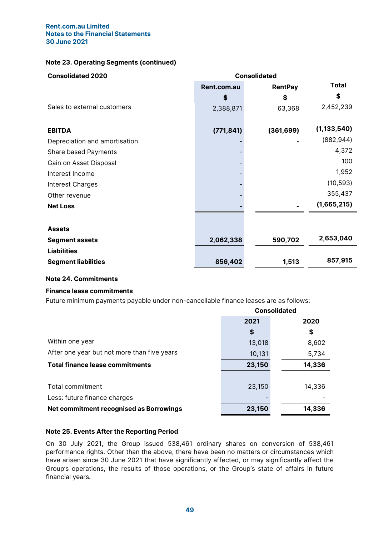## Note 23. Operating Segments (continued)

| <b>Consolidated 2020</b>      | <b>Consolidated</b> |                |               |
|-------------------------------|---------------------|----------------|---------------|
|                               | Rent.com.au         | <b>RentPay</b> | <b>Total</b>  |
|                               | \$                  | \$             | S             |
| Sales to external customers   | 2,388,871           | 63,368         | 2,452,239     |
|                               |                     |                |               |
| <b>EBITDA</b>                 | (771, 841)          | (361, 699)     | (1, 133, 540) |
| Depreciation and amortisation |                     |                | (882, 944)    |
| Share based Payments          |                     |                | 4,372         |
| Gain on Asset Disposal        |                     |                | 100           |
| Interest Income               |                     |                | 1,952         |
| Interest Charges              |                     |                | (10, 593)     |
| Other revenue                 |                     |                | 355,437       |
| <b>Net Loss</b>               |                     |                | (1,665,215)   |
|                               |                     |                |               |
| <b>Assets</b>                 |                     |                |               |
| <b>Segment assets</b>         | 2,062,338           | 590,702        | 2,653,040     |
| <b>Liabilities</b>            |                     |                |               |
| <b>Segment liabilities</b>    | 856,402             | 1,513          | 857,915       |

## Note 24. Commitments

## Finance lease commitments

Future minimum payments payable under non-cancellable finance leases are as follows:

|                                             | <b>Consolidated</b> |        |  |
|---------------------------------------------|---------------------|--------|--|
|                                             | 2021                | 2020   |  |
|                                             | \$                  | \$     |  |
| Within one year                             | 13,018              | 8,602  |  |
| After one year but not more than five years | 10,131              | 5,734  |  |
| <b>Total finance lease commitments</b>      | 23,150              | 14,336 |  |
|                                             |                     |        |  |
| Total commitment                            | 23,150              | 14,336 |  |
| Less: future finance charges                |                     |        |  |
| Net commitment recognised as Borrowings     | 23,150              | 14,336 |  |

## Note 25. Events After the Reporting Period

On 30 July 2021, the Group issued 538,461 ordinary shares on conversion of 538,461 performance rights. Other than the above, there have been no matters or circumstances which have arisen since 30 June 2021 that have significantly affected, or may significantly affect the Group's operations, the results of those operations, or the Group's state of affairs in future financial years.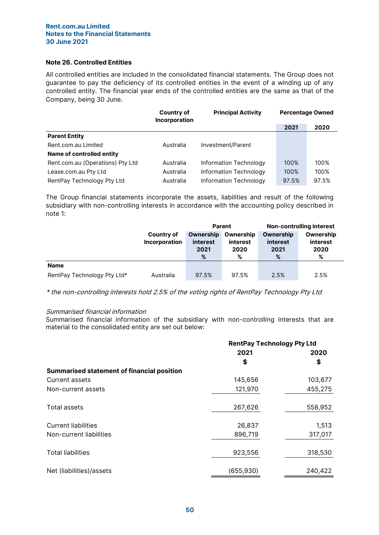## Note 26. Controlled Entities

All controlled entities are included in the consolidated financial statements. The Group does not guarantee to pay the deficiency of its controlled entities in the event of a winding up of any controlled entity. The financial year ends of the controlled entities are the same as that of the Company, being 30 June.

|                                  | Country of<br>Incorporation | <b>Principal Activity</b> | <b>Percentage Owned</b> |       |  |
|----------------------------------|-----------------------------|---------------------------|-------------------------|-------|--|
|                                  |                             |                           | 2021                    | 2020  |  |
| <b>Parent Entity</b>             |                             |                           |                         |       |  |
| Rent.com.au Limited              | Australia                   | Investment/Parent         |                         |       |  |
| Name of controlled entity        |                             |                           |                         |       |  |
| Rent.com.au (Operations) Pty Ltd | Australia                   | Information Technology    | 100%                    | 100%  |  |
| Lease.com.au Pty Ltd             | Australia                   | Information Technology    | 100%                    | 100%  |  |
| RentPay Technology Pty Ltd       | Australia                   | Information Technology    | 97.5%                   | 97.5% |  |

The Group financial statements incorporate the assets, liabilities and result of the following subsidiary with non-controlling interests in accordance with the accounting policy described in note 1:

|                             |                      | Parent    |           | <b>Non-controlling interest</b> |           |
|-----------------------------|----------------------|-----------|-----------|---------------------------------|-----------|
|                             | Country of           | Ownership | Ownership | Ownership                       | Ownership |
|                             | <b>Incorporation</b> | interest  | interest  | interest                        | interest  |
|                             |                      | 2021      | 2020      | 2021                            | 2020      |
|                             |                      | %         | %         | %                               | %         |
| <b>Name</b>                 |                      |           |           |                                 |           |
| RentPay Technology Pty Ltd* | Australia            | 97.5%     | 97.5%     | 2.5%                            | 2.5%      |

\* the non-controlling interests hold 2.5% of the voting rights of RentPay Technology Pty Ltd

#### Summarised financial information

Summarised financial information of the subsidiary with non-controlling interests that are material to the consolidated entity are set out below:

|                                                   | <b>RentPay Technology Pty Ltd</b> |         |  |
|---------------------------------------------------|-----------------------------------|---------|--|
|                                                   | 2021                              | 2020    |  |
|                                                   | \$                                | \$      |  |
| <b>Summarised statement of financial position</b> |                                   |         |  |
| Current assets                                    | 145,656                           | 103,677 |  |
| Non-current assets                                | 121,970                           | 455,275 |  |
| <b>Total assets</b>                               | 267,626                           | 558,952 |  |
| <b>Current liabilities</b>                        | 26,837                            | 1,513   |  |
| Non-current liabilities                           | 896,719                           | 317,017 |  |
| <b>Total liabilities</b>                          | 923,556                           | 318,530 |  |
| Net (liabilities)/assets                          | (655, 930)                        | 240,422 |  |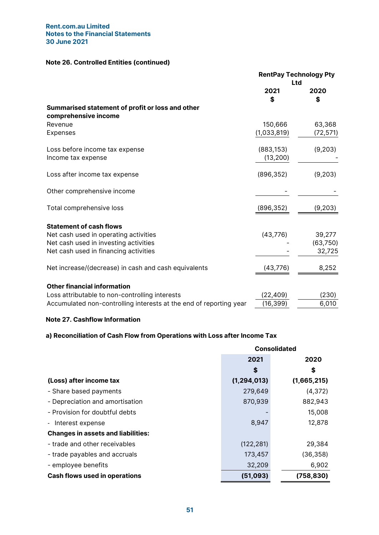# Note 26. Controlled Entities (continued)

|                                                                          | <b>RentPay Technology Pty</b><br>Ltd |            |  |
|--------------------------------------------------------------------------|--------------------------------------|------------|--|
|                                                                          | 2021<br>\$                           | 2020<br>\$ |  |
| Summarised statement of profit or loss and other<br>comprehensive income |                                      |            |  |
| Revenue                                                                  | 150,666                              | 63,368     |  |
| Expenses                                                                 | (1,033,819)                          | (72, 571)  |  |
| Loss before income tax expense<br>Income tax expense                     | (883, 153)<br>(13, 200)              | (9,203)    |  |
| Loss after income tax expense                                            | (896, 352)                           | (9,203)    |  |
| Other comprehensive income                                               |                                      |            |  |
| Total comprehensive loss                                                 | (896, 352)                           | (9,203)    |  |
| <b>Statement of cash flows</b>                                           |                                      |            |  |
| Net cash used in operating activities                                    | (43, 776)                            | 39,277     |  |
| Net cash used in investing activities                                    |                                      | (63,750)   |  |
| Net cash used in financing activities                                    |                                      | 32,725     |  |
| Net increase/(decrease) in cash and cash equivalents                     | (43,776)                             | 8,252      |  |
| <b>Other financial information</b>                                       |                                      |            |  |
| Loss attributable to non-controlling interests                           | (22, 409)                            | (230)      |  |
| Accumulated non-controlling interests at the end of reporting year       | (16, 399)                            | 6,010      |  |

## Note 27. Cashflow Information

# a) Reconciliation of Cash Flow from Operations with Loss after Income Tax

|                                           | <b>Consolidated</b> |             |  |
|-------------------------------------------|---------------------|-------------|--|
|                                           | 2021                | 2020        |  |
|                                           | S                   | \$          |  |
| (Loss) after income tax                   | (1, 294, 013)       | (1,665,215) |  |
| - Share based payments                    | 279,649             | (4, 372)    |  |
| - Depreciation and amortisation           | 870,939             | 882,943     |  |
| - Provision for doubtful debts            |                     | 15,008      |  |
| - Interest expense                        | 8,947               | 12,878      |  |
| <b>Changes in assets and liabilities:</b> |                     |             |  |
| - trade and other receivables             | (122, 281)          | 29,384      |  |
| - trade payables and accruals             | 173,457             | (36,358)    |  |
| - employee benefits                       | 32,209              | 6,902       |  |
| <b>Cash flows used in operations</b>      | (51,093)            | (758, 830)  |  |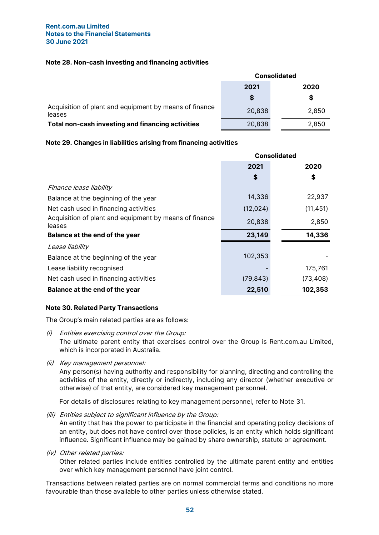## Note 28. Non-cash investing and financing activities

|                                                                  | <b>Consolidated</b> |       |  |  |
|------------------------------------------------------------------|---------------------|-------|--|--|
|                                                                  | 2021                | 2020  |  |  |
|                                                                  | \$                  | S     |  |  |
| Acquisition of plant and equipment by means of finance<br>leases | 20,838              | 2,850 |  |  |
| Total non-cash investing and financing activities                | 20,838              | 2.850 |  |  |

## Note 29. Changes in liabilities arising from financing activities

|                                                                  | <b>Consolidated</b> |           |  |
|------------------------------------------------------------------|---------------------|-----------|--|
|                                                                  | 2021                | 2020      |  |
|                                                                  | \$                  | \$        |  |
| Finance lease liability                                          |                     |           |  |
| Balance at the beginning of the year                             | 14,336              | 22,937    |  |
| Net cash used in financing activities                            | (12, 024)           | (11, 451) |  |
| Acquisition of plant and equipment by means of finance<br>leases | 20,838              | 2,850     |  |
| Balance at the end of the year                                   | 23,149              | 14,336    |  |
| Lease liability                                                  |                     |           |  |
| Balance at the beginning of the year                             | 102,353             |           |  |
| Lease liability recognised                                       |                     | 175,761   |  |
| Net cash used in financing activities                            | (79, 843)           | (73, 408) |  |
| Balance at the end of the year                                   | 22,510              | 102,353   |  |

# Note 30. Related Party Transactions

The Group's main related parties are as follows:

- (i) Entities exercising control over the Group: The ultimate parent entity that exercises control over the Group is Rent.com.au Limited, which is incorporated in Australia.
- (ii) Key management personnel:

Any person(s) having authority and responsibility for planning, directing and controlling the activities of the entity, directly or indirectly, including any director (whether executive or otherwise) of that entity, are considered key management personnel.

For details of disclosures relating to key management personnel, refer to Note 31.

(iii) Entities subject to significant influence by the Group:

An entity that has the power to participate in the financial and operating policy decisions of an entity, but does not have control over those policies, is an entity which holds significant influence. Significant influence may be gained by share ownership, statute or agreement.

(iv) Other related parties:

Other related parties include entities controlled by the ultimate parent entity and entities over which key management personnel have joint control.

Transactions between related parties are on normal commercial terms and conditions no more favourable than those available to other parties unless otherwise stated.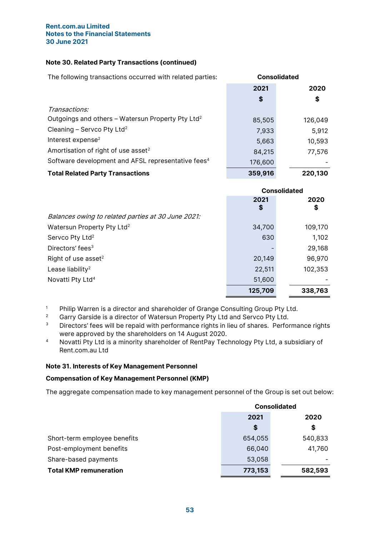## Note 30. Related Party Transactions (continued)

The following transactions occurred with related parties: **Consolidated** 2021 2020 \$ \$ Transactions: Outgoings and others – Watersun Property Pty Ltd<sup>2</sup> 85,505 126,049 Cleaning – Servco Pty Ltd<sup>2</sup> 7,933 5,912 Interest expense<sup>2</sup> 5,663 10,593 Amortisation of right of use asset $2$ 84,215 77,576 Software development and AFSL representative fees<sup>4</sup> 176,600 Total Related Party Transactions **359,916** 220,130

|                                                    | <b>Consolidated</b> |            |  |
|----------------------------------------------------|---------------------|------------|--|
|                                                    | 2021<br>\$          | 2020<br>\$ |  |
| Balances owing to related parties at 30 June 2021: |                     |            |  |
| Watersun Property Pty Ltd <sup>2</sup>             | 34,700              | 109,170    |  |
| Servco Pty Ltd <sup>2</sup>                        | 630                 | 1,102      |  |
| Directors' fees <sup>3</sup>                       |                     | 29,168     |  |
| Right of use asset <sup>2</sup>                    | 20,149              | 96,970     |  |
| Lease liability <sup>2</sup>                       | 22,511              | 102,353    |  |
| Novatti Pty Ltd <sup>4</sup>                       | 51,600              |            |  |
|                                                    | 125,709             | 338,763    |  |

- <sup>1</sup> Philip Warren is a director and shareholder of Grange Consulting Group Pty Ltd.
- <sup>2</sup> Garry Garside is a director of Watersun Property Pty Ltd and Servco Pty Ltd.
- <sup>3</sup> Directors' fees will be repaid with performance rights in lieu of shares. Performance rights were approved by the shareholders on 14 August 2020.
- <sup>4</sup> Novatti Pty Ltd is a minority shareholder of RentPay Technology Pty Ltd, a subsidiary of Rent.com.au Ltd

## Note 31. Interests of Key Management Personnel

## Compensation of Key Management Personnel (KMP)

The aggregate compensation made to key management personnel of the Group is set out below:

|                               | <b>Consolidated</b> |         |  |
|-------------------------------|---------------------|---------|--|
|                               | 2021                | 2020    |  |
|                               | \$                  | \$      |  |
| Short-term employee benefits  | 654,055             | 540,833 |  |
| Post-employment benefits      | 66,040              | 41,760  |  |
| Share-based payments          | 53,058              |         |  |
| <b>Total KMP remuneration</b> | 773,153             | 582,593 |  |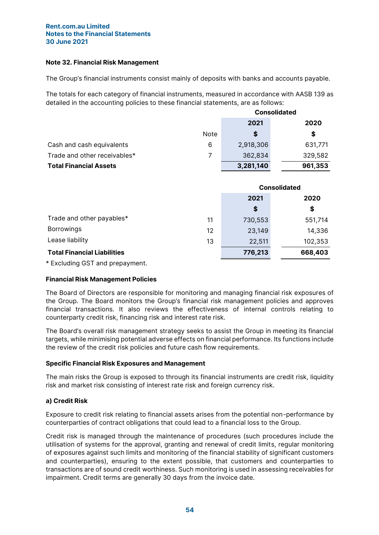## Note 32. Financial Risk Management

The Group's financial instruments consist mainly of deposits with banks and accounts payable.

The totals for each category of financial instruments, measured in accordance with AASB 139 as detailed in the accounting policies to these financial statements, are as follows:

|                               |      | <b>Consolidated</b> |         |  |
|-------------------------------|------|---------------------|---------|--|
|                               |      | 2021                | 2020    |  |
|                               | Note | S                   | \$      |  |
| Cash and cash equivalents     | 6    | 2,918,306           | 631,771 |  |
| Trade and other receivables*  |      | 362,834             | 329,582 |  |
| <b>Total Financial Assets</b> |      | 3,281,140           | 961,353 |  |

|                                    |    | <b>Consolidated</b> |         |  |
|------------------------------------|----|---------------------|---------|--|
|                                    |    | 2021<br>2020        |         |  |
|                                    |    | \$                  | \$      |  |
| Trade and other payables*          | 11 | 730,553             | 551,714 |  |
| <b>Borrowings</b>                  | 12 | 23,149              | 14,336  |  |
| Lease liability                    | 13 | 22,511              | 102,353 |  |
| <b>Total Financial Liabilities</b> |    | 776,213<br>668,403  |         |  |

\* Excluding GST and prepayment.

# Financial Risk Management Policies

The Board of Directors are responsible for monitoring and managing financial risk exposures of the Group. The Board monitors the Group's financial risk management policies and approves financial transactions. It also reviews the effectiveness of internal controls relating to counterparty credit risk, financing risk and interest rate risk.

The Board's overall risk management strategy seeks to assist the Group in meeting its financial targets, while minimising potential adverse effects on financial performance. Its functions include the review of the credit risk policies and future cash flow requirements.

## Specific Financial Risk Exposures and Management

The main risks the Group is exposed to through its financial instruments are credit risk, liquidity risk and market risk consisting of interest rate risk and foreign currency risk.

# a) Credit Risk

Exposure to credit risk relating to financial assets arises from the potential non-performance by counterparties of contract obligations that could lead to a financial loss to the Group.

Credit risk is managed through the maintenance of procedures (such procedures include the utilisation of systems for the approval, granting and renewal of credit limits, regular monitoring of exposures against such limits and monitoring of the financial stability of significant customers and counterparties), ensuring to the extent possible, that customers and counterparties to transactions are of sound credit worthiness. Such monitoring is used in assessing receivables for impairment. Credit terms are generally 30 days from the invoice date.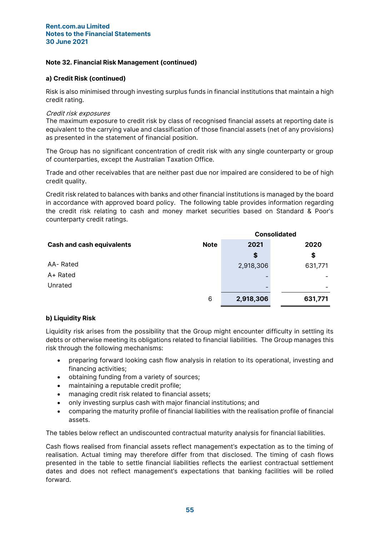## Note 32. Financial Risk Management (continued)

## a) Credit Risk (continued)

Risk is also minimised through investing surplus funds in financial institutions that maintain a high credit rating.

## Credit risk exposures

The maximum exposure to credit risk by class of recognised financial assets at reporting date is equivalent to the carrying value and classification of those financial assets (net of any provisions) as presented in the statement of financial position.

The Group has no significant concentration of credit risk with any single counterparty or group of counterparties, except the Australian Taxation Office.

Trade and other receivables that are neither past due nor impaired are considered to be of high credit quality.

Credit risk related to balances with banks and other financial institutions is managed by the board in accordance with approved board policy. The following table provides information regarding the credit risk relating to cash and money market securities based on Standard & Poor's counterparty credit ratings.

|                                  |             | <b>Consolidated</b> |         |  |  |
|----------------------------------|-------------|---------------------|---------|--|--|
| <b>Cash and cash equivalents</b> | <b>Note</b> | 2021                | 2020    |  |  |
|                                  |             | \$                  | \$      |  |  |
| AA-Rated                         |             | 2,918,306           | 631,771 |  |  |
| A+ Rated                         |             |                     |         |  |  |
| Unrated                          |             |                     |         |  |  |
|                                  | 6           | 2,918,306           | 631,771 |  |  |

## b) Liquidity Risk

Liquidity risk arises from the possibility that the Group might encounter difficulty in settling its debts or otherwise meeting its obligations related to financial liabilities. The Group manages this risk through the following mechanisms:

- preparing forward looking cash flow analysis in relation to its operational, investing and financing activities;
- obtaining funding from a variety of sources;
- maintaining a reputable credit profile;
- managing credit risk related to financial assets;
- only investing surplus cash with major financial institutions; and
- comparing the maturity profile of financial liabilities with the realisation profile of financial assets.

The tables below reflect an undiscounted contractual maturity analysis for financial liabilities.

Cash flows realised from financial assets reflect management's expectation as to the timing of realisation. Actual timing may therefore differ from that disclosed. The timing of cash flows presented in the table to settle financial liabilities reflects the earliest contractual settlement dates and does not reflect management's expectations that banking facilities will be rolled forward.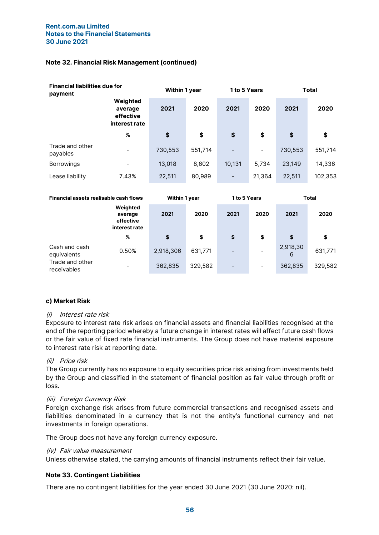## Note 32. Financial Risk Management (continued)

| <b>Financial liabilities due for</b><br>payment |                                                   | <b>Within 1 year</b> |         | <b>1 to 5 Years</b> |        | <b>Total</b> |         |
|-------------------------------------------------|---------------------------------------------------|----------------------|---------|---------------------|--------|--------------|---------|
|                                                 | Weighted<br>average<br>effective<br>interest rate | 2021                 | 2020    | 2021                | 2020   | 2021         | 2020    |
|                                                 | %                                                 | \$                   | \$      | \$                  | \$     | \$           | \$      |
| Trade and other<br>payables                     | $\overline{\phantom{a}}$                          | 730,553              | 551,714 |                     | -      | 730,553      | 551,714 |
| <b>Borrowings</b>                               |                                                   | 13,018               | 8,602   | 10,131              | 5,734  | 23,149       | 14,336  |
| Lease liability                                 | 7.43%                                             | 22,511               | 80,989  |                     | 21,364 | 22,511       | 102,353 |

| <b>Financial assets realisable cash flows</b> |                                                   |           | <b>Within 1 year</b> |      | <b>1 to 5 Years</b> |               | Total   |  |
|-----------------------------------------------|---------------------------------------------------|-----------|----------------------|------|---------------------|---------------|---------|--|
|                                               | Weighted<br>average<br>effective<br>interest rate | 2021      | 2020                 | 2021 | 2020                | 2021          | 2020    |  |
|                                               | %                                                 | \$        | \$                   | \$   | \$                  | \$            | \$      |  |
| Cash and cash<br>equivalents                  | 0.50%                                             | 2,918,306 | 631,771              |      |                     | 2,918,30<br>6 | 631,771 |  |
| Trade and other<br>receivables                | $\overline{\phantom{0}}$                          | 362,835   | 329,582              |      | -                   | 362,835       | 329,582 |  |

## c) Market Risk

## (i) Interest rate risk

Exposure to interest rate risk arises on financial assets and financial liabilities recognised at the end of the reporting period whereby a future change in interest rates will affect future cash flows or the fair value of fixed rate financial instruments. The Group does not have material exposure to interest rate risk at reporting date.

## (ii) Price risk

The Group currently has no exposure to equity securities price risk arising from investments held by the Group and classified in the statement of financial position as fair value through profit or loss.

## (iii) Foreign Currency Risk

Foreign exchange risk arises from future commercial transactions and recognised assets and liabilities denominated in a currency that is not the entity's functional currency and net investments in foreign operations.

The Group does not have any foreign currency exposure.

## (iv) Fair value measurement

Unless otherwise stated, the carrying amounts of financial instruments reflect their fair value.

## Note 33. Contingent Liabilities

There are no contingent liabilities for the year ended 30 June 2021 (30 June 2020: nil).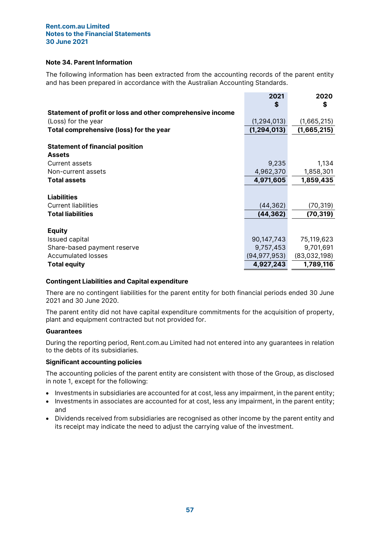## Note 34. Parent Information

The following information has been extracted from the accounting records of the parent entity and has been prepared in accordance with the Australian Accounting Standards.

|                                                            | 2021           | 2020         |
|------------------------------------------------------------|----------------|--------------|
|                                                            | \$             | \$           |
| Statement of profit or loss and other comprehensive income |                |              |
| (Loss) for the year                                        | (1, 294, 013)  | (1,665,215)  |
| Total comprehensive (loss) for the year                    | (1, 294, 013)  | (1,665,215)  |
| <b>Statement of financial position</b>                     |                |              |
| <b>Assets</b>                                              |                |              |
| Current assets                                             | 9,235          | 1,134        |
| Non-current assets                                         | 4,962,370      | 1,858,301    |
| <b>Total assets</b>                                        | 4,971,605      | 1,859,435    |
|                                                            |                |              |
| <b>Liabilities</b>                                         |                |              |
| <b>Current liabilities</b>                                 | (44, 362)      | (70, 319)    |
| <b>Total liabilities</b>                                   | (44, 362)      | (70, 319)    |
|                                                            |                |              |
| <b>Equity</b>                                              |                |              |
| Issued capital                                             | 90,147,743     | 75,119,623   |
| Share-based payment reserve                                | 9,757,453      | 9,701,691    |
| Accumulated losses                                         | (94, 977, 953) | (83,032,198) |
| <b>Total equity</b>                                        | 4,927,243      | 1,789,116    |
|                                                            |                |              |

## Contingent Liabilities and Capital expenditure

There are no contingent liabilities for the parent entity for both financial periods ended 30 June 2021 and 30 June 2020.

The parent entity did not have capital expenditure commitments for the acquisition of property, plant and equipment contracted but not provided for.

## **Guarantees**

During the reporting period, Rent.com.au Limited had not entered into any guarantees in relation to the debts of its subsidiaries.

## Significant accounting policies

The accounting policies of the parent entity are consistent with those of the Group, as disclosed in note 1, except for the following:

- Investments in subsidiaries are accounted for at cost, less any impairment, in the parent entity;
- Investments in associates are accounted for at cost, less any impairment, in the parent entity; and
- Dividends received from subsidiaries are recognised as other income by the parent entity and its receipt may indicate the need to adjust the carrying value of the investment.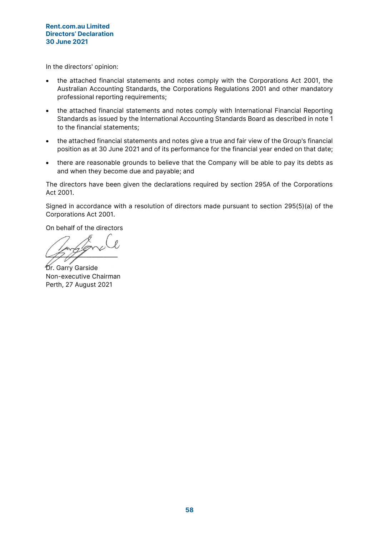In the directors' opinion:

- the attached financial statements and notes comply with the Corporations Act 2001, the Australian Accounting Standards, the Corporations Regulations 2001 and other mandatory professional reporting requirements;
- the attached financial statements and notes comply with International Financial Reporting Standards as issued by the International Accounting Standards Board as described in note 1 to the financial statements;
- the attached financial statements and notes give a true and fair view of the Group's financial position as at 30 June 2021 and of its performance for the financial year ended on that date;
- there are reasonable grounds to believe that the Company will be able to pay its debts as and when they become due and payable; and

The directors have been given the declarations required by section 295A of the Corporations Act 2001.

Signed in accordance with a resolution of directors made pursuant to section 295(5)(a) of the Corporations Act 2001.

On behalf of the directors

 $\sqrt{2}$ 

Dr. Garry Garside Non-executive Chairman Perth, 27 August 2021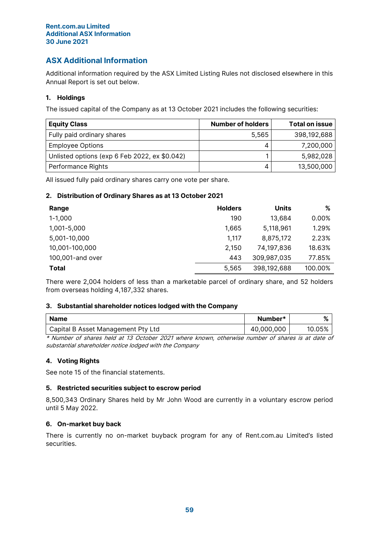## Rent.com.au Limited Additional ASX Information 30 June 2021

# ASX Additional Information

Additional information required by the ASX Limited Listing Rules not disclosed elsewhere in this Annual Report is set out below.

# 1. Holdings

The issued capital of the Company as at 13 October 2021 includes the following securities:

| <b>Equity Class</b>                           | Number of holders | <b>Total on issue</b> |
|-----------------------------------------------|-------------------|-----------------------|
| Fully paid ordinary shares                    | 5.565             | 398,192,688           |
| <b>Employee Options</b>                       |                   | 7,200,000             |
| Unlisted options (exp 6 Feb 2022, ex \$0.042) |                   | 5,982,028             |
| Performance Rights                            |                   | 13,500,000            |

All issued fully paid ordinary shares carry one vote per share.

# 2. Distribution of Ordinary Shares as at 13 October 2021

| Range            | <b>Holders</b> | <b>Units</b> | %       |
|------------------|----------------|--------------|---------|
| $1 - 1,000$      | 190            | 13,684       | 0.00%   |
| 1,001-5,000      | 1,665          | 5,118,961    | 1.29%   |
| 5,001-10,000     | 1,117          | 8,875,172    | 2.23%   |
| 10,001-100,000   | 2,150          | 74,197,836   | 18.63%  |
| 100,001-and over | 443            | 309,987,035  | 77.85%  |
| <b>Total</b>     | 5,565          | 398,192,688  | 100.00% |

There were 2,004 holders of less than a marketable parcel of ordinary share, and 52 holders from overseas holding 4,187,332 shares.

# 3. Substantial shareholder notices lodged with the Company

| Capital B Asset Management Pty Ltd | 40,000,000 | 10.05% |
|------------------------------------|------------|--------|

\* Number of shares held at 13 October 2021 where known, otherwise number of shares is at date of substantial shareholder notice lodged with the Company

# 4. Voting Rights

See note 15 of the financial statements.

# 5. Restricted securities subject to escrow period

8,500,343 Ordinary Shares held by Mr John Wood are currently in a voluntary escrow period until 5 May 2022.

## 6. On-market buy back

There is currently no on-market buyback program for any of Rent.com.au Limited's listed securities.